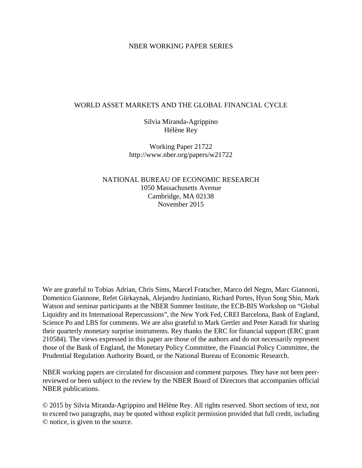### NBER WORKING PAPER SERIES

### WORLD ASSET MARKETS AND THE GLOBAL FINANCIAL CYCLE

Silvia Miranda-Agrippino Hélène Rey

Working Paper 21722 http://www.nber.org/papers/w21722

NATIONAL BUREAU OF ECONOMIC RESEARCH 1050 Massachusetts Avenue Cambridge, MA 02138 November 2015

We are grateful to Tobias Adrian, Chris Sims, Marcel Fratscher, Marco del Negro, Marc Giannoni, Domenico Giannone, Refet Gürkaynak, Alejandro Justiniano, Richard Portes, Hyun Song Shin, Mark Watson and seminar participants at the NBER Summer Institute, the ECB-BIS Workshop on "Global Liquidity and its International Repercussions", the New York Fed, CREI Barcelona, Bank of England, Science Po and LBS for comments. We are also grateful to Mark Gertler and Peter Karadi for sharing their quarterly monetary surprise instruments. Rey thanks the ERC for financial support (ERC grant 210584). The views expressed in this paper are those of the authors and do not necessarily represent those of the Bank of England, the Monetary Policy Committee, the Financial Policy Committee, the Prudential Regulation Authority Board, or the National Bureau of Economic Research.

NBER working papers are circulated for discussion and comment purposes. They have not been peerreviewed or been subject to the review by the NBER Board of Directors that accompanies official NBER publications.

© 2015 by Silvia Miranda-Agrippino and Hélène Rey. All rights reserved. Short sections of text, not to exceed two paragraphs, may be quoted without explicit permission provided that full credit, including © notice, is given to the source.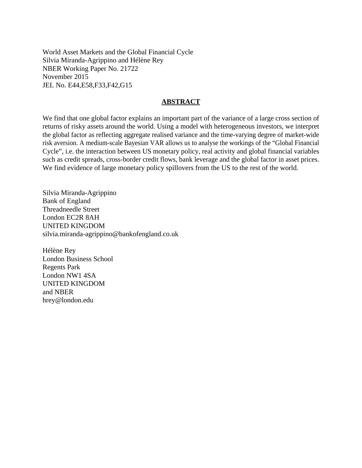World Asset Markets and the Global Financial Cycle Silvia Miranda-Agrippino and Hélène Rey NBER Working Paper No. 21722 November 2015 JEL No. E44,E58,F33,F42,G15

### **ABSTRACT**

We find that one global factor explains an important part of the variance of a large cross section of returns of risky assets around the world. Using a model with heterogeneous investors, we interpret the global factor as reflecting aggregate realised variance and the time-varying degree of market-wide risk aversion. A medium-scale Bayesian VAR allows us to analyse the workings of the "Global Financial Cycle", i.e. the interaction between US monetary policy, real activity and global financial variables such as credit spreads, cross-border credit flows, bank leverage and the global factor in asset prices. We find evidence of large monetary policy spillovers from the US to the rest of the world.

Silvia Miranda-Agrippino Bank of England Threadneedle Street London EC2R 8AH UNITED KINGDOM silvia.miranda-agrippino@bankofengland.co.uk

Hélène Rey London Business School Regents Park London NW1 4SA UNITED KINGDOM and NBER hrey@london.edu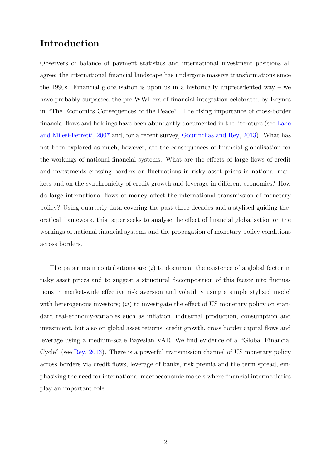# Introduction

Observers of balance of payment statistics and international investment positions all agree: the international financial landscape has undergone massive transformations since the 1990s. Financial globalisation is upon us in a historically unprecedented way – we have probably surpassed the pre-WWI era of financial integration celebrated by Keynes in "The Economics Consequences of the Peace". The rising importance of cross-border financial flows and holdings have been abundantly documented in the literature (see [Lane](#page-44-0) [and Milesi-Ferretti,](#page-44-0) [2007](#page-44-0) and, for a recent survey, [Gourinchas and Rey,](#page-43-0) [2013\)](#page-43-0). What has not been explored as much, however, are the consequences of financial globalisation for the workings of national financial systems. What are the effects of large flows of credit and investments crossing borders on fluctuations in risky asset prices in national markets and on the synchronicity of credit growth and leverage in different economies? How do large international flows of money affect the international transmission of monetary policy? Using quarterly data covering the past three decades and a stylised guiding theoretical framework, this paper seeks to analyse the effect of financial globalisation on the workings of national financial systems and the propagation of monetary policy conditions across borders.

The paper main contributions are  $(i)$  to document the existence of a global factor in risky asset prices and to suggest a structural decomposition of this factor into fluctuations in market-wide effective risk aversion and volatility using a simple stylised model with heterogenous investors;  $(ii)$  to investigate the effect of US monetary policy on standard real-economy-variables such as inflation, industrial production, consumption and investment, but also on global asset returns, credit growth, cross border capital flows and leverage using a medium-scale Bayesian VAR. We find evidence of a "Global Financial Cycle" (see [Rey,](#page-45-0) [2013\)](#page-45-0). There is a powerful transmission channel of US monetary policy across borders via credit flows, leverage of banks, risk premia and the term spread, emphasising the need for international macroeconomic models where financial intermediaries play an important role.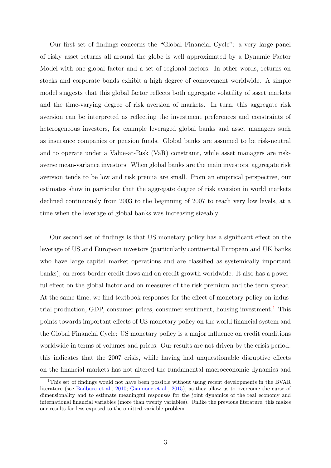Our first set of findings concerns the "Global Financial Cycle": a very large panel of risky asset returns all around the globe is well approximated by a Dynamic Factor Model with one global factor and a set of regional factors. In other words, returns on stocks and corporate bonds exhibit a high degree of comovement worldwide. A simple model suggests that this global factor reflects both aggregate volatility of asset markets and the time-varying degree of risk aversion of markets. In turn, this aggregate risk aversion can be interpreted as reflecting the investment preferences and constraints of heterogeneous investors, for example leveraged global banks and asset managers such as insurance companies or pension funds. Global banks are assumed to be risk-neutral and to operate under a Value-at-Risk (VaR) constraint, while asset managers are riskaverse mean-variance investors. When global banks are the main investors, aggregate risk aversion tends to be low and risk premia are small. From an empirical perspective, our estimates show in particular that the aggregate degree of risk aversion in world markets declined continuously from 2003 to the beginning of 2007 to reach very low levels, at a time when the leverage of global banks was increasing sizeably.

Our second set of findings is that US monetary policy has a significant effect on the leverage of US and European investors (particularly continental European and UK banks who have large capital market operations and are classified as systemically important banks), on cross-border credit flows and on credit growth worldwide. It also has a powerful effect on the global factor and on measures of the risk premium and the term spread. At the same time, we find textbook responses for the effect of monetary policy on indus-trial production, GDP, consumer prices, consumer sentiment, housing investment.<sup>[1](#page-3-0)</sup> This points towards important effects of US monetary policy on the world financial system and the Global Financial Cycle: US monetary policy is a major influence on credit conditions worldwide in terms of volumes and prices. Our results are not driven by the crisis period: this indicates that the 2007 crisis, while having had unquestionable disruptive effects on the financial markets has not altered the fundamental macroeconomic dynamics and

<span id="page-3-0"></span><sup>&</sup>lt;sup>1</sup>This set of findings would not have been possible without using recent developments in the BVAR literature (see Banbura et al., [2010;](#page-40-0) [Giannone et al.,](#page-43-1) [2015\)](#page-43-1), as they allow us to overcome the curse of dimensionality and to estimate meaningful responses for the joint dynamics of the real economy and international financial variables (more than twenty variables). Unlike the previous literature, this makes our results far less exposed to the omitted variable problem.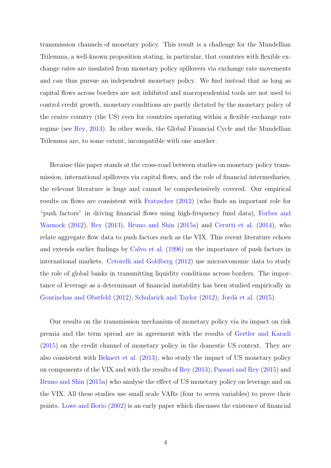transmission channels of monetary policy. This result is a challenge for the Mundellian Trilemma, a well-known proposition stating, in particular, that countries with flexible exchange rates are insulated from monetary policy spillovers via exchange rate movements and can thus pursue an independent monetary policy. We find instead that as long as capital flows across borders are not inhibited and macroprudential tools are not used to control credit growth, monetary conditions are partly dictated by the monetary policy of the centre country (the US) even for countries operating within a flexible exchange rate regime (see [Rey,](#page-45-0) [2013\)](#page-45-0). In other words, the Global Financial Cycle and the Mundellian Trilemma are, to some extent, incompatible with one another.

Because this paper stands at the cross-road between studies on monetary policy transmission, international spillovers via capital flows, and the role of financial intermediaries, the relevant literature is huge and cannot be comprehensively covered. Our empirical results on flows are consistent with [Fratzscher](#page-42-0) [\(2012\)](#page-42-0) (who finds an important role for "push factors" in driving financial flows using high-frequency fund data), [Forbes and](#page-42-1) [Warnock](#page-42-1) [\(2012\)](#page-42-1), [Rey](#page-45-0) [\(2013\)](#page-45-0), [Bruno and Shin](#page-41-0) [\(2015a\)](#page-41-0) and [Cerutti et al.](#page-41-1) [\(2014\)](#page-41-1), who relate aggregate flow data to push factors such as the VIX. This recent literature echoes and extends earlier findings by [Calvo et al.](#page-41-2) [\(1996\)](#page-41-2) on the importance of push factors in international markets. [Cetorelli and Goldberg](#page-41-3) [\(2012\)](#page-41-3) use microeconomic data to study the role of global banks in transmitting liquidity conditions across borders. The importance of leverage as a determinant of financial instability has been studied empirically in [Gourinchas and Obstfeld](#page-43-2) [\(2012\)](#page-45-1); [Schularick and Taylor](#page-45-1) (2012); Jordà et al. [\(2015\)](#page-43-3).

Our results on the transmission mechanism of monetary policy via its impact on risk premia and the term spread are in agreement with the results of [Gertler and Karadi](#page-42-2) [\(2015\)](#page-42-2) on the credit channel of monetary policy in the domestic US context. They are also consistent with [Bekaert et al.](#page-40-1) [\(2013\)](#page-40-1), who study the impact of US monetary policy on components of the VIX and with the results of [Rey](#page-45-0) [\(2013\)](#page-45-0); [Passari and Rey](#page-45-2) [\(2015\)](#page-45-2) and [Bruno and Shin](#page-41-0) [\(2015a\)](#page-41-0) who analyse the effect of US monetary policy on leverage and on the VIX. All these studies use small scale VARs (four to seven variables) to prove their points. [Lowe and Borio](#page-44-1) [\(2002\)](#page-44-1) is an early paper which discusses the existence of financial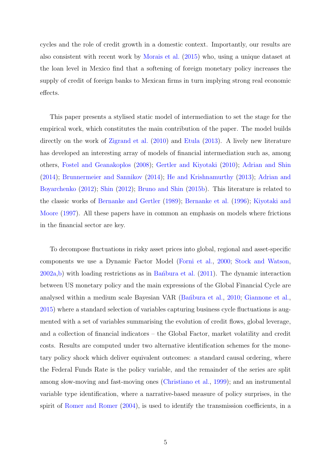cycles and the role of credit growth in a domestic context. Importantly, our results are also consistent with recent work by [Morais et al.](#page-44-2) [\(2015\)](#page-44-2) who, using a unique dataset at the loan level in Mexico find that a softening of foreign monetary policy increases the supply of credit of foreign banks to Mexican firms in turn implying strong real economic effects.

This paper presents a stylised static model of intermediation to set the stage for the empirical work, which constitutes the main contribution of the paper. The model builds directly on the work of [Zigrand et al.](#page-46-0) [\(2010\)](#page-46-0) and [Etula](#page-42-3) [\(2013\)](#page-42-3). A lively new literature has developed an interesting array of models of financial intermediation such as, among others, [Fostel and Geanakoplos](#page-42-4) [\(2008\)](#page-42-4); [Gertler and Kiyotaki](#page-43-4) [\(2010\)](#page-43-4); [Adrian and Shin](#page-40-2) [\(2014\)](#page-40-2); [Brunnermeier and Sannikov](#page-41-4) [\(2014\)](#page-41-4); [He and Krishnamurthy](#page-43-5) [\(2013\)](#page-43-5); [Adrian and](#page-40-3) [Boyarchenko](#page-40-3) [\(2012\)](#page-40-3); [Shin](#page-45-3) [\(2012\)](#page-45-3); [Bruno and Shin](#page-41-5) [\(2015b\)](#page-41-5). This literature is related to the classic works of [Bernanke and Gertler](#page-41-6) [\(1989\)](#page-41-6); [Bernanke et al.](#page-41-7) [\(1996\)](#page-41-7); [Kiyotaki and](#page-43-6) [Moore](#page-43-6) [\(1997\)](#page-43-6). All these papers have in common an emphasis on models where frictions in the financial sector are key.

To decompose fluctuations in risky asset prices into global, regional and asset-specific components we use a Dynamic Factor Model [\(Forni et al.,](#page-42-5) [2000;](#page-42-5) [Stock and Watson,](#page-45-4)  $2002a,b$  $2002a,b$ ) with loading restrictions as in Ban<sup>o</sup>bura et al.  $(2011)$ . The dynamic interaction between US monetary policy and the main expressions of the Global Financial Cycle are analysed within a medium scale Bayesian VAR (Bantbura et al., [2010;](#page-40-0) [Giannone et al.,](#page-43-1) [2015\)](#page-43-1) where a standard selection of variables capturing business cycle fluctuations is augmented with a set of variables summarising the evolution of credit flows, global leverage, and a collection of financial indicators – the Global Factor, market volatility and credit costs. Results are computed under two alternative identification schemes for the monetary policy shock which deliver equivalent outcomes: a standard causal ordering, where the Federal Funds Rate is the policy variable, and the remainder of the series are split among slow-moving and fast-moving ones [\(Christiano et al.,](#page-41-8) [1999\)](#page-41-8); and an instrumental variable type identification, where a narrative-based measure of policy surprises, in the spirit of [Romer and Romer](#page-45-6) [\(2004\)](#page-45-6), is used to identify the transmission coefficients, in a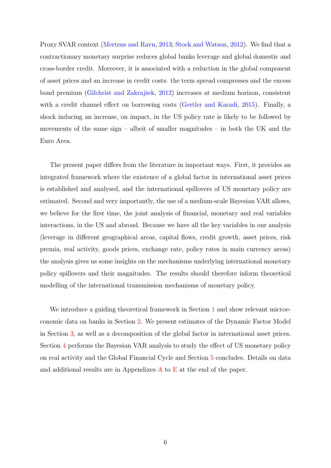Proxy SVAR context [\(Mertens and Ravn,](#page-44-3) [2013;](#page-44-3) [Stock and Watson,](#page-46-1) [2012\)](#page-46-1). We find that a contractionary monetary surprise reduces global banks leverage and global domestic and cross-border credit. Moreover, it is associated with a reduction in the global component of asset prices and an increase in credit costs: the term spread compresses and the excess bond premium (Gilchrist and Zakrajšek, [2012\)](#page-43-7) increases at medium horizon, consistent with a credit channel effect on borrowing costs [\(Gertler and Karadi,](#page-42-2) [2015\)](#page-42-2). Finally, a shock inducing an increase, on impact, in the US policy rate is likely to be followed by movements of the same sign – albeit of smaller magnitudes – in both the UK and the Euro Area.

The present paper differs from the literature in important ways. First, it provides an integrated framework where the existence of a global factor in international asset prices is established and analysed, and the international spillovers of US monetary policy are estimated. Second and very importantly, the use of a medium-scale Bayesian VAR allows, we believe for the first time, the joint analysis of financial, monetary and real variables interactions, in the US and abroad. Because we have all the key variables in our analysis (leverage in different geographical areas, capital flows, credit growth, asset prices, risk premia, real activity, goods prices, exchange rate, policy rates in main currency areas) the analysis gives us some insights on the mechanisms underlying international monetary policy spillovers and their magnitudes. The results should therefore inform theoretical modelling of the international transmission mechanisms of monetary policy.

We introduce a guiding theoretical framework in Section [1](#page-7-0) and show relevant microeconomic data on banks in Section [2.](#page-11-0) We present estimates of the Dynamic Factor Model in Section [3,](#page-15-0) as well as a decomposition of the global factor in international asset prices. Section [4](#page-23-0) performs the Bayesian VAR analysis to study the effect of US monetary policy on real activity and the Global Financial Cycle and Section [5](#page-37-0) concludes. Details on data and additional results are in Appendixes [A](#page-47-0) to [E](#page-63-0) at the end of the paper.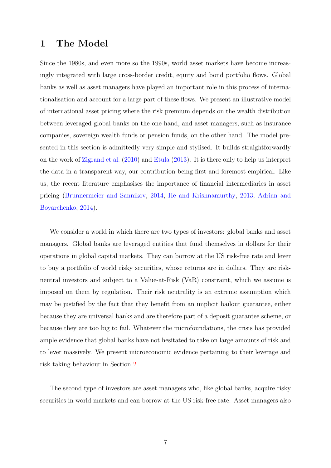# <span id="page-7-0"></span>1 The Model

Since the 1980s, and even more so the 1990s, world asset markets have become increasingly integrated with large cross-border credit, equity and bond portfolio flows. Global banks as well as asset managers have played an important role in this process of internationalisation and account for a large part of these flows. We present an illustrative model of international asset pricing where the risk premium depends on the wealth distribution between leveraged global banks on the one hand, and asset managers, such as insurance companies, sovereign wealth funds or pension funds, on the other hand. The model presented in this section is admittedly very simple and stylised. It builds straightforwardly on the work of [Zigrand et al.](#page-46-0) [\(2010\)](#page-46-0) and [Etula](#page-42-3) [\(2013\)](#page-42-3). It is there only to help us interpret the data in a transparent way, our contribution being first and foremost empirical. Like us, the recent literature emphasises the importance of financial intermediaries in asset pricing [\(Brunnermeier and Sannikov,](#page-41-4) [2014;](#page-41-4) [He and Krishnamurthy,](#page-43-5) [2013;](#page-43-5) [Adrian and](#page-40-5) [Boyarchenko,](#page-40-5) [2014\)](#page-40-5).

We consider a world in which there are two types of investors: global banks and asset managers. Global banks are leveraged entities that fund themselves in dollars for their operations in global capital markets. They can borrow at the US risk-free rate and lever to buy a portfolio of world risky securities, whose returns are in dollars. They are riskneutral investors and subject to a Value-at-Risk (VaR) constraint, which we assume is imposed on them by regulation. Their risk neutrality is an extreme assumption which may be justified by the fact that they benefit from an implicit bailout guarantee, either because they are universal banks and are therefore part of a deposit guarantee scheme, or because they are too big to fail. Whatever the microfoundations, the crisis has provided ample evidence that global banks have not hesitated to take on large amounts of risk and to lever massively. We present microeconomic evidence pertaining to their leverage and risk taking behaviour in Section [2.](#page-11-0)

The second type of investors are asset managers who, like global banks, acquire risky securities in world markets and can borrow at the US risk-free rate. Asset managers also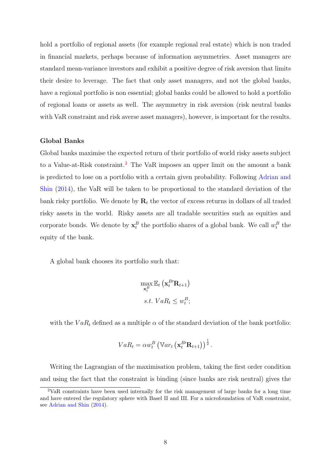hold a portfolio of regional assets (for example regional real estate) which is non traded in financial markets, perhaps because of information asymmetries. Asset managers are standard mean-variance investors and exhibit a positive degree of risk aversion that limits their desire to leverage. The fact that only asset managers, and not the global banks, have a regional portfolio is non essential; global banks could be allowed to hold a portfolio of regional loans or assets as well. The asymmetry in risk aversion (risk neutral banks with VaR constraint and risk averse asset managers), however, is important for the results.

### Global Banks

Global banks maximise the expected return of their portfolio of world risky assets subject to a Value-at-Risk constraint.<sup>[2](#page-8-0)</sup> The VaR imposes an upper limit on the amount a bank is predicted to lose on a portfolio with a certain given probability. Following [Adrian and](#page-40-2) [Shin](#page-40-2) [\(2014\)](#page-40-2), the VaR will be taken to be proportional to the standard deviation of the bank risky portfolio. We denote by  $\mathbf{R}_t$  the vector of excess returns in dollars of all traded risky assets in the world. Risky assets are all tradable securities such as equities and corporate bonds. We denote by  $\mathbf{x}_t^B$  the portfolio shares of a global bank. We call  $w_t^B$  the equity of the bank.

A global bank chooses its portfolio such that:

$$
\max_{\mathbf{x}_t^B} \mathbb{E}_t \left( \mathbf{x}_t^{B'} \mathbf{R}_{t+1} \right)
$$
  
s.t.  $VaR_t \leq w_t^B$ ;

with the  $VaR_t$  defined as a multiple  $\alpha$  of the standard deviation of the bank portfolio:

$$
VaR_t = \alpha w_t^B \left( \mathbb{V}ar_t \left( \mathbf{x}_t^{B'} \mathbf{R}_{t+1} \right) \right)^{\frac{1}{2}}.
$$

Writing the Lagrangian of the maximisation problem, taking the first order condition and using the fact that the constraint is binding (since banks are risk neutral) gives the

<span id="page-8-0"></span><sup>2</sup>VaR constraints have been used internally for the risk management of large banks for a long time and have entered the regulatory sphere with Basel II and III. For a microfoundation of VaR constraint, see [Adrian and Shin](#page-40-2) [\(2014\)](#page-40-2).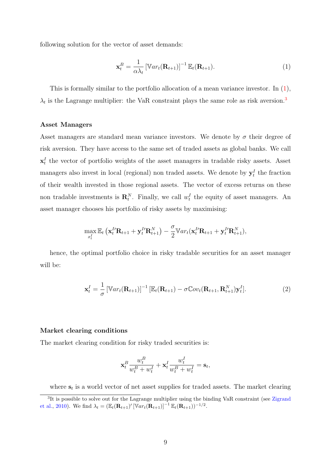following solution for the vector of asset demands:

<span id="page-9-0"></span>
$$
\mathbf{x}_t^B = \frac{1}{\alpha \lambda_t} \left[ \mathbb{V}ar_t(\mathbf{R}_{t+1}) \right]^{-1} \mathbb{E}_t(\mathbf{R}_{t+1}). \tag{1}
$$

This is formally similar to the portfolio allocation of a mean variance investor. In [\(1\)](#page-9-0),  $\lambda_t$  is the Lagrange multiplier: the VaR constraint plays the same role as risk aversion.<sup>[3](#page-9-1)</sup>

#### Asset Managers

Asset managers are standard mean variance investors. We denote by  $\sigma$  their degree of risk aversion. They have access to the same set of traded assets as global banks. We call  $\mathbf{x}_t^I$  the vector of portfolio weights of the asset managers in tradable risky assets. Asset managers also invest in local (regional) non traded assets. We denote by  $y_t^I$  the fraction of their wealth invested in those regional assets. The vector of excess returns on these non tradable investments is  $\mathbf{R}_t^N$ . Finally, we call  $w_t^I$  the equity of asset managers. An asset manager chooses his portfolio of risky assets by maximising:

$$
\max_{x_t^I} \mathbb{E}_t \left( \mathbf{x}_t^I \mathbf{R}_{t+1} + \mathbf{y}_t^I \mathbf{R}_{t+1}^N \right) - \frac{\sigma}{2} \mathbb{V}ar_t(\mathbf{x}_t^I \mathbf{R}_{t+1} + \mathbf{y}_t^I \mathbf{R}_{t+1}^N),
$$

hence, the optimal portfolio choice in risky tradable securities for an asset manager will be:

<span id="page-9-2"></span>
$$
\mathbf{x}_t^I = \frac{1}{\sigma} \left[ \mathbb{V}ar_t(\mathbf{R}_{t+1}) \right]^{-1} \left[ \mathbb{E}_t(\mathbf{R}_{t+1}) - \sigma \mathbb{C}ov_t(\mathbf{R}_{t+1}, \mathbf{R}_{t+1}^N) \mathbf{y}_t^I \right]. \tag{2}
$$

### Market clearing conditions

The market clearing condition for risky traded securities is:

$$
\mathbf{x}_t^B\frac{w_t^B}{w_t^B+w_t^I}+\mathbf{x}_t^I\frac{w_t^I}{w_t^B+w_t^I}=\mathbf{s}_t,
$$

<span id="page-9-1"></span>where  $s_t$  is a world vector of net asset supplies for traded assets. The market clearing

<sup>&</sup>lt;sup>3</sup>It is possible to solve out for the Lagrange multiplier using the binding VaR constraint (see [Zigrand](#page-46-0) [et al.,](#page-46-0) [2010\)](#page-46-0). We find  $\lambda_t = (\mathbb{E}_t(\mathbf{R}_{t+1})' [\mathbb{V}ar_t(\mathbf{R}_{t+1})]^{-1} \mathbb{E}_t(\mathbf{R}_{t+1})^{-1/2}$ .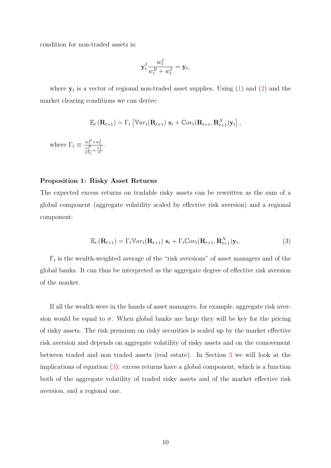condition for non-traded assets is:

$$
\mathbf{y}_t^I \frac{w_t^I}{w_t^B + w_t^I} = \mathbf{y}_t,
$$

where  $y_t$  is a vector of regional non-traded asset supplies. Using  $(1)$  and  $(2)$  and the market clearing conditions we can derive:

$$
\mathbb{E}_t\left(\mathbf{R}_{t+1}\right)=\Gamma_t\left[\mathbb{V}ar_t(\mathbf{R}_{t+1})\,\,\mathbf{s}_t+\mathbb{C}ov_t(\mathbf{R}_{t+1},\mathbf{R}_{t+1}^N)\mathbf{y}_t\right],
$$

where  $\Gamma_t \equiv \frac{w_t^B + w_t^I}{\frac{w_t^B}{\alpha \lambda_t} + \frac{w_t^I}{\sigma}}$ .

#### Proposition 1: Risky Asset Returns

The expected excess returns on tradable risky assets can be rewritten as the sum of a global component (aggregate volatility scaled by effective risk aversion) and a regional component:

<span id="page-10-0"></span>
$$
\mathbb{E}_t\left(\mathbf{R}_{t+1}\right) = \Gamma_t \mathbb{V}ar_t(\mathbf{R}_{t+1})\ \mathbf{s}_t + \Gamma_t \mathbb{C}ov_t(\mathbf{R}_{t+1}, \mathbf{R}_{t+1}^N)\mathbf{y}_t. \tag{3}
$$

 $\Gamma_t$  is the wealth-weighted average of the "risk aversions" of asset managers and of the global banks. It can thus be interpreted as the aggregate degree of effective risk aversion of the market.

If all the wealth were in the hands of asset managers, for example, aggregate risk aversion would be equal to  $\sigma$ . When global banks are large they will be key for the pricing of risky assets. The risk premium on risky securities is scaled up by the market effective risk aversion and depends on aggregate volatility of risky assets and on the comovement between traded and non traded assets (real estate). In Section [3](#page-15-0) we will look at the implications of equation [\(3\)](#page-10-0): excess returns have a global component, which is a function both of the aggregate volatility of traded risky assets and of the market effective risk aversion, and a regional one.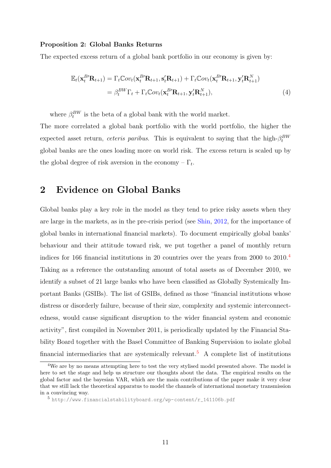### Proposition 2: Global Banks Returns

The expected excess return of a global bank portfolio in our economy is given by:

$$
\mathbb{E}_{t}(\mathbf{x}_{t}^{B'}\mathbf{R}_{t+1}) = \Gamma_{t}\mathbb{C}ov_{t}(\mathbf{x}_{t}^{B'}\mathbf{R}_{t+1}, \mathbf{s}_{t}'\mathbf{R}_{t+1}) + \Gamma_{t}\mathbb{C}ov_{t}(\mathbf{x}_{t}^{B'}\mathbf{R}_{t+1}, \mathbf{y}_{t}'\mathbf{R}_{t+1}^{N})
$$
\n
$$
= \beta_{t}^{BW}\Gamma_{t} + \Gamma_{t}\mathbb{C}ov_{t}(\mathbf{x}_{t}^{B'}\mathbf{R}_{t+1}, \mathbf{y}_{t}'\mathbf{R}_{t+1}^{N}), \tag{4}
$$

where  $\beta_t^{BW}$  is the beta of a global bank with the world market.

The more correlated a global bank portfolio with the world portfolio, the higher the expected asset return, *ceteris paribus*. This is equivalent to saying that the high- $\beta_t^{BW}$ global banks are the ones loading more on world risk. The excess return is scaled up by the global degree of risk aversion in the economy  $-\Gamma_t$ .

## <span id="page-11-0"></span>2 Evidence on Global Banks

Global banks play a key role in the model as they tend to price risky assets when they are large in the markets, as in the pre-crisis period (see [Shin,](#page-45-3) [2012,](#page-45-3) for the importance of global banks in international financial markets). To document empirically global banks' behaviour and their attitude toward risk, we put together a panel of monthly return indices for 166 financial institutions in 20 countries over the years from 2000 to 2010.[4](#page-11-1) Taking as a reference the outstanding amount of total assets as of December 2010, we identify a subset of 21 large banks who have been classified as Globally Systemically Important Banks (GSIBs). The list of GSIBs, defined as those "financial institutions whose distress or disorderly failure, because of their size, complexity and systemic interconnectedness, would cause significant disruption to the wider financial system and economic activity", first compiled in November 2011, is periodically updated by the Financial Stability Board together with the Basel Committee of Banking Supervision to isolate global financial intermediaries that are systemically relevant.<sup>[5](#page-11-2)</sup> A complete list of institutions

<span id="page-11-1"></span><sup>4</sup>We are by no means attempting here to test the very stylised model presented above. The model is here to set the stage and help us structure our thoughts about the data. The empirical results on the global factor and the bayesian VAR, which are the main contributions of the paper make it very clear that we still lack the theoretical apparatus to model the channels of international monetary transmission in a convincing way.

<span id="page-11-2"></span><sup>5</sup> [http://www.financialstabilityboard.org/wp-content/r\\_141106b.pdf](http://www.financialstabilityboard.org/wp-content/r_141106b.pdf)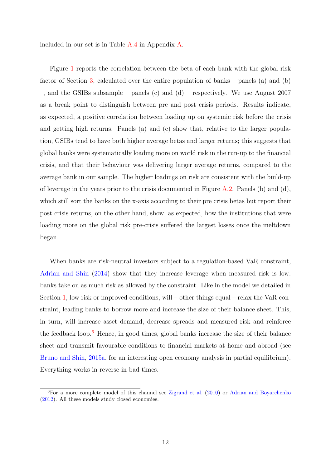included in our set is in Table [A.4](#page-51-0) in Appendix [A.](#page-47-0)

Figure [1](#page-13-0) reports the correlation between the beta of each bank with the global risk factor of Section [3,](#page-15-0) calculated over the entire population of banks – panels (a) and (b) –, and the GSIBs subsample – panels (c) and (d) – respectively. We use August 2007 as a break point to distinguish between pre and post crisis periods. Results indicate, as expected, a positive correlation between loading up on systemic risk before the crisis and getting high returns. Panels (a) and (c) show that, relative to the larger population, GSIBs tend to have both higher average betas and larger returns; this suggests that global banks were systematically loading more on world risk in the run-up to the financial crisis, and that their behaviour was delivering larger average returns, compared to the average bank in our sample. The higher loadings on risk are consistent with the build-up of leverage in the years prior to the crisis documented in Figure  $A.2$ . Panels (b) and (d), which still sort the banks on the x-axis according to their pre crisis betas but report their post crisis returns, on the other hand, show, as expected, how the institutions that were loading more on the global risk pre-crisis suffered the largest losses once the meltdown began.

When banks are risk-neutral investors subject to a regulation-based VaR constraint, [Adrian and Shin](#page-40-2) [\(2014\)](#page-40-2) show that they increase leverage when measured risk is low: banks take on as much risk as allowed by the constraint. Like in the model we detailed in Section [1,](#page-7-0) low risk or improved conditions, will – other things equal – relax the VaR constraint, leading banks to borrow more and increase the size of their balance sheet. This, in turn, will increase asset demand, decrease spreads and measured risk and reinforce the feedback loop.<sup>[6](#page-12-0)</sup> Hence, in good times, global banks increase the size of their balance sheet and transmit favourable conditions to financial markets at home and abroad (see [Bruno and Shin,](#page-41-0) [2015a,](#page-41-0) for an interesting open economy analysis in partial equilibrium). Everything works in reverse in bad times.

<span id="page-12-0"></span> ${}^{6}$ For a more complete model of this channel see [Zigrand et al.](#page-46-0) [\(2010\)](#page-46-0) or [Adrian and Boyarchenko](#page-40-3) [\(2012\)](#page-40-3). All these models study closed economies.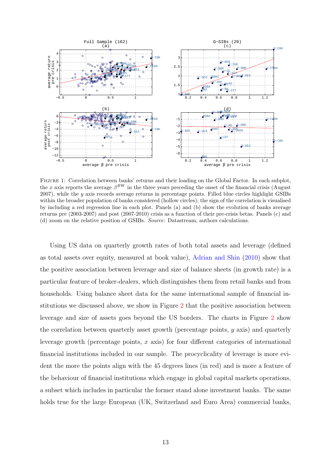<span id="page-13-0"></span>

Figure 1: Correlation between banks' returns and their loading on the Global Factor. In each subplot, the x axis reports the average  $\beta^{BW}$  in the three years preceding the onset of the financial crisis (August  $2007$ ), while the y axis records average returns in percentage points. Filled blue circles highlight GSIBs within the broader population of banks considered (hollow circles); the sign of the correlation is visualised by including a red regression line in each plot. Panels (a) and (b) show the evolution of banks average returns pre (2003-2007) and post (2007-2010) crisis as a function of their pre-crisis betas. Panels (c) and (d) zoom on the relative position of GSIBs. Source: Datastream, authors calculations.

Using US data on quarterly growth rates of both total assets and leverage (defined as total assets over equity, measured at book value), [Adrian and Shin](#page-40-6) [\(2010\)](#page-40-6) show that the positive association between leverage and size of balance sheets (in growth rate) is a particular feature of broker-dealers, which distinguishes them from retail banks and from households. Using balance sheet data for the same international sample of financial institutions we discussed above, we show in Figure [2](#page-14-0) that the positive association between leverage and size of assets goes beyond the US borders. The charts in Figure [2](#page-14-0) show the correlation between quarterly asset growth (percentage points, y axis) and quarterly leverage growth (percentage points, x axis) for four different categories of international financial institutions included in our sample. The procyclicality of leverage is more evident the more the points align with the 45 degrees lines (in red) and is more a feature of the behaviour of financial institutions which engage in global capital markets operations, a subset which includes in particular the former stand alone investment banks. The same holds true for the large European (UK, Switzerland and Euro Area) commercial banks,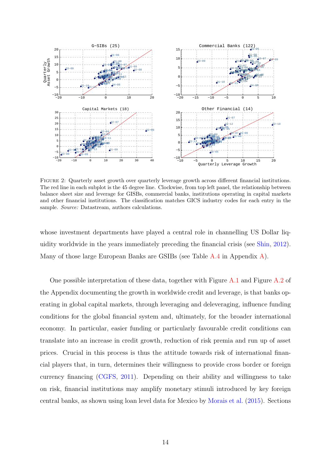<span id="page-14-0"></span>

Figure 2: Quarterly asset growth over quarterly leverage growth across different financial institutions. The red line in each subplot is the 45 degree line. Clockwise, from top left panel, the relationship between balance sheet size and leverage for GISBs, commercial banks, institutions operating in capital markets and other financial institutions. The classification matches GICS industry codes for each entry in the sample. *Source:* Datastream, authors calculations.

whose investment departments have played a central role in channelling US Dollar liquidity worldwide in the years immediately preceding the financial crisis (see [Shin,](#page-45-3) [2012\)](#page-45-3). Many of those large European Banks are GSIBs (see Table [A.4](#page-51-0) in Appendix [A\)](#page-47-0).

One possible interpretation of these data, together with Figure [A.1](#page-47-1) and Figure [A.2](#page-49-0) of the Appendix documenting the growth in worldwide credit and leverage, is that banks operating in global capital markets, through leveraging and deleveraging, influence funding conditions for the global financial system and, ultimately, for the broader international economy. In particular, easier funding or particularly favourable credit conditions can translate into an increase in credit growth, reduction of risk premia and run up of asset prices. Crucial in this process is thus the attitude towards risk of international financial players that, in turn, determines their willingness to provide cross border or foreign currency financing [\(CGFS,](#page-41-9) [2011\)](#page-41-9). Depending on their ability and willingness to take on risk, financial institutions may amplify monetary stimuli introduced by key foreign central banks, as shown using loan level data for Mexico by [Morais et al.](#page-44-2) [\(2015\)](#page-44-2). Sections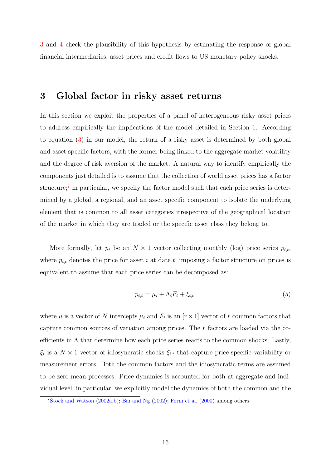[3](#page-15-0) and [4](#page-23-0) check the plausibility of this hypothesis by estimating the response of global financial intermediaries, asset prices and credit flows to US monetary policy shocks.

## <span id="page-15-0"></span>3 Global factor in risky asset returns

In this section we exploit the properties of a panel of heterogeneous risky asset prices to address empirically the implications of the model detailed in Section [1.](#page-7-0) According to equation [\(3\)](#page-10-0) in our model, the return of a risky asset is determined by both global and asset specific factors, with the former being linked to the aggregate market volatility and the degree of risk aversion of the market. A natural way to identify empirically the components just detailed is to assume that the collection of world asset prices has a factor structure;<sup>[7](#page-15-1)</sup> in particular, we specify the factor model such that each price series is determined by a global, a regional, and an asset specific component to isolate the underlying element that is common to all asset categories irrespective of the geographical location of the market in which they are traded or the specific asset class they belong to.

More formally, let  $p_t$  be an  $N \times 1$  vector collecting monthly (log) price series  $p_{i,t}$ , where  $p_{i,t}$  denotes the price for asset i at date t; imposing a factor structure on prices is equivalent to assume that each price series can be decomposed as:

<span id="page-15-2"></span>
$$
p_{i,t} = \mu_i + \Lambda_i F_t + \xi_{i,t},\tag{5}
$$

where  $\mu$  is a vector of N intercepts  $\mu_i$  and  $F_t$  is an  $[r \times 1]$  vector of r common factors that capture common sources of variation among prices. The r factors are loaded via the coefficients in  $\Lambda$  that determine how each price series reacts to the common shocks. Lastly,  $\xi_t$  is a  $N \times 1$  vector of idiosyncratic shocks  $\xi_{i,t}$  that capture price-specific variability or measurement errors. Both the common factors and the idiosyncratic terms are assumed to be zero mean processes. Price dynamics is accounted for both at aggregate and individual level; in particular, we explicitly model the dynamics of both the common and the

<span id="page-15-1"></span> $7\text{Stock}$  and Watson [\(2002a,](#page-45-4)[b\)](#page-45-5); [Bai and Ng](#page-40-7) [\(2002\)](#page-40-7); [Forni et al.](#page-42-5) [\(2000\)](#page-42-5) among others.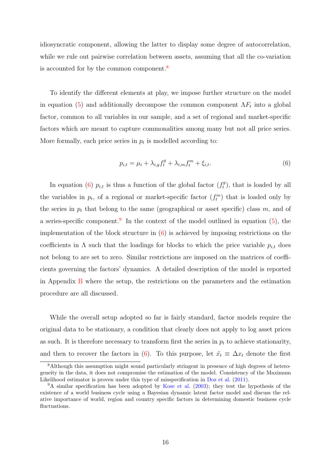idiosyncratic component, allowing the latter to display some degree of autocorrelation, while we rule out pairwise correlation between assets, assuming that all the co-variation is accounted for by the common component.<sup>[8](#page-16-0)</sup>

To identify the different elements at play, we impose further structure on the model in equation [\(5\)](#page-15-2) and additionally decompose the common component  $\Lambda F_t$  into a global factor, common to all variables in our sample, and a set of regional and market-specific factors which are meant to capture commonalities among many but not all price series. More formally, each price series in  $p_t$  is modelled according to:

<span id="page-16-1"></span>
$$
p_{i,t} = \mu_i + \lambda_{i,g} f_t^g + \lambda_{i,m} f_t^m + \xi_{i,t}.
$$
\n
$$
(6)
$$

In equation [\(6\)](#page-16-1)  $p_{i,t}$  is thus a function of the global factor  $(f_t^g)$  $t_i^g$ , that is loaded by all the variables in  $p_t$ , of a regional or market-specific factor  $(f_t^m)$  that is loaded only by the series in  $p_t$  that belong to the same (geographical or asset specific) class m, and of a series-specific component.<sup>[9](#page-16-2)</sup> In the context of the model outlined in equation  $(5)$ , the implementation of the block structure in [\(6\)](#page-16-1) is achieved by imposing restrictions on the coefficients in  $\Lambda$  such that the loadings for blocks to which the price variable  $p_{i,t}$  does not belong to are set to zero. Similar restrictions are imposed on the matrices of coefficients governing the factors' dynamics. A detailed description of the model is reported in Appendix [B](#page-55-0) where the setup, the restrictions on the parameters and the estimation procedure are all discussed.

While the overall setup adopted so far is fairly standard, factor models require the original data to be stationary, a condition that clearly does not apply to log asset prices as such. It is therefore necessary to transform first the series in  $p_t$  to achieve stationarity, and then to recover the factors in [\(6\)](#page-16-1). To this purpose, let  $\tilde{x}_t \equiv \Delta x_t$  denote the first

<span id="page-16-0"></span><sup>&</sup>lt;sup>8</sup>Although this assumption might sound particularly stringent in presence of high degrees of heterogeneity in the data, it does not compromise the estimation of the model. Consistency of the Maximum Likelihood estimator is proven under this type of misspecification in [Doz et al.](#page-42-6) [\(2011\)](#page-42-6).

<span id="page-16-2"></span><sup>&</sup>lt;sup>9</sup>A similar specification has been adopted by [Kose et al.](#page-44-4) [\(2003\)](#page-44-4); they test the hypothesis of the existence of a world business cycle using a Bayesian dynamic latent factor model and discuss the relative importance of world, region and country specific factors in determining domestic business cycle fluctuations.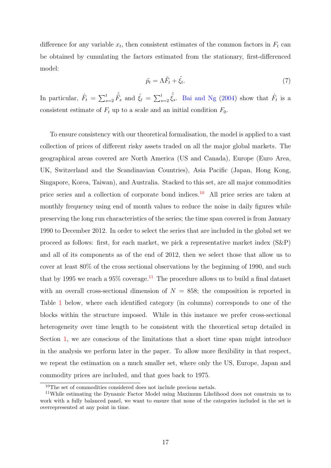difference for any variable  $x_t$ , then consistent estimates of the common factors in  $F_t$  can be obtained by cumulating the factors estimated from the stationary, first-differenced model:

$$
\tilde{p}_t = \Lambda \tilde{F}_t + \tilde{\xi}_t. \tag{7}
$$

In particular,  $\hat{F}_t = \sum_{s=2}^t \hat{\tilde{F}}_s$  and  $\hat{\xi}_t = \sum_{s=2}^t \hat{\tilde{\xi}}_s$ . [Bai and Ng](#page-40-8) [\(2004\)](#page-40-8) show that  $\hat{F}_t$  is a consistent estimate of  $F_t$  up to a scale and an initial condition  $F_0$ .

To ensure consistency with our theoretical formalisation, the model is applied to a vast collection of prices of different risky assets traded on all the major global markets. The geographical areas covered are North America (US and Canada), Europe (Euro Area, UK, Switzerland and the Scandinavian Countries), Asia Pacific (Japan, Hong Kong, Singapore, Korea, Taiwan), and Australia. Stacked to this set, are all major commodities price series and a collection of corporate bond indices.[10](#page-17-0) All price series are taken at monthly frequency using end of month values to reduce the noise in daily figures while preserving the long run characteristics of the series; the time span covered is from January 1990 to December 2012. In order to select the series that are included in the global set we proceed as follows: first, for each market, we pick a representative market index (S&P) and all of its components as of the end of 2012, then we select those that allow us to cover at least 80% of the cross sectional observations by the beginning of 1990, and such that by 1995 we reach a 95% coverage.<sup>[11](#page-17-1)</sup> The procedure allows us to build a final dataset with an overall cross-sectional dimension of  $N = 858$ ; the composition is reported in Table [1](#page-18-0) below, where each identified category (in columns) corresponds to one of the blocks within the structure imposed. While in this instance we prefer cross-sectional heterogeneity over time length to be consistent with the theoretical setup detailed in Section [1,](#page-7-0) we are conscious of the limitations that a short time span might introduce in the analysis we perform later in the paper. To allow more flexibility in that respect, we repeat the estimation on a much smaller set, where only the US, Europe, Japan and commodity prices are included, and that goes back to 1975.

<span id="page-17-1"></span><span id="page-17-0"></span> $10$ The set of commodities considered does not include precious metals.

<sup>11</sup>While estimating the Dynamic Factor Model using Maximum Likelihood does not constrain us to work with a fully balanced panel, we want to ensure that none of the categories included in the set is overrepresented at any point in time.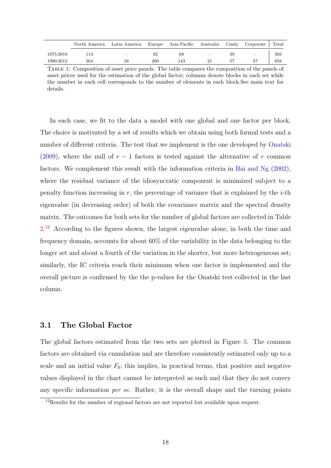<span id="page-18-0"></span>

|           | North America | Latin America Europe Asia Pacific Australia Cmdy Corporate Total |     |     |                                 |    |                          |     |
|-----------|---------------|------------------------------------------------------------------|-----|-----|---------------------------------|----|--------------------------|-----|
| 1975:2010 |               | $\overline{\phantom{m}}$                                         |     | 68  | $\hspace{0.1mm}-\hspace{0.1mm}$ | 39 | $\overline{\phantom{m}}$ | 303 |
| 1990:2012 | 364           | 16                                                               | 200 | 143 |                                 |    | 57                       | 858 |

Table 1: Composition of asset price panels. The table compares the composition of the panels of asset prices used for the estimation of the global factor; columns denote blocks in each set while the number in each cell corresponds to the number of elements in each block.See main text for details.

In each case, we fit to the data a model with one global and one factor per block. The choice is motivated by a set of results which we obtain using both formal tests and a number of different criteria. The test that we implement is the one developed by [Onatski](#page-45-7) [\(2009\)](#page-45-7), where the null of  $r-1$  factors is tested against the alternative of r common factors. We complement this result with the information criteria in [Bai and Ng](#page-40-7) [\(2002\)](#page-40-7), where the residual variance of the idiosyncratic component is minimized subject to a penalty function increasing in r, the percentage of variance that is explained by the  $i$ -th eigenvalue (in decreasing order) of both the covariance matrix and the spectral density matrix. The outcomes for both sets for the number of global factors are collected in Table  $2<sup>12</sup>$  $2<sup>12</sup>$  $2<sup>12</sup>$  According to the figures shown, the largest eigenvalue alone, in both the time and frequency domain, accounts for about 60% of the variability in the data belonging to the longer set and about a fourth of the variation in the shorter, but more heterogeneous set; similarly, the IC criteria reach their minimum when one factor is implemented and the overall picture is confirmed by the the p-values for the Onatski test collected in the last column.

## 3.1 The Global Factor

The global factors estimated from the two sets are plotted in Figure [3.](#page-20-0) The common factors are obtained via cumulation and are therefore consistently estimated only up to a scale and an initial value  $F_0$ ; this implies, in practical terms, that positive and negative values displayed in the chart cannot be interpreted as such and that they do not convey any specific information per se. Rather, it is the overall shape and the turning points

<span id="page-18-1"></span><sup>&</sup>lt;sup>12</sup>Results for the number of regional factors are not reported but available upon request.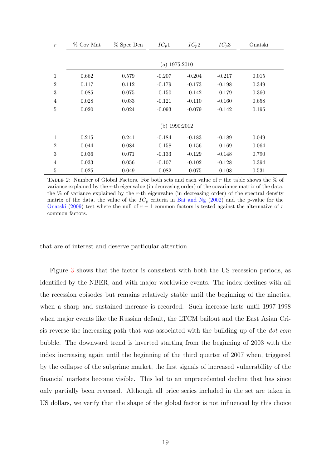<span id="page-19-0"></span>

| $\mathfrak{r}$ | $%$ Cov Mat | % Spec Den | $IC_p1$         | $IC_p2$  | $IC_p3$  | Onatski |  |
|----------------|-------------|------------|-----------------|----------|----------|---------|--|
|                |             |            |                 |          |          |         |  |
|                |             |            | (a) $1975:2010$ |          |          |         |  |
| $\mathbf{1}$   | 0.662       | 0.579      | $-0.207$        | $-0.204$ | $-0.217$ | 0.015   |  |
| $\overline{2}$ | 0.117       | 0.112      | $-0.179$        | $-0.173$ | $-0.198$ | 0.349   |  |
| 3              | 0.085       | 0.075      | $-0.150$        | $-0.142$ | $-0.179$ | 0.360   |  |
| $\overline{4}$ | 0.028       | 0.033      | $-0.121$        | $-0.110$ | $-0.160$ | 0.658   |  |
| $\overline{5}$ | 0.020       | 0.024      | $-0.093$        | $-0.079$ | $-0.142$ | 0.195   |  |
|                |             |            |                 |          |          |         |  |
|                |             |            | (b) $1990:2012$ |          |          |         |  |
| $\mathbf{1}$   | 0.215       | 0.241      | $-0.184$        | $-0.183$ | $-0.189$ | 0.049   |  |
| $\overline{2}$ | 0.044       | 0.084      | $-0.158$        | $-0.156$ | $-0.169$ | 0.064   |  |
| 3              | 0.036       | 0.071      | $-0.133$        | $-0.129$ | $-0.148$ | 0.790   |  |
| 4              | 0.033       | 0.056      | $-0.107$        | $-0.102$ | $-0.128$ | 0.394   |  |
| $\overline{5}$ | 0.025       | 0.049      | $-0.082$        | $-0.075$ | $-0.108$ | 0.531   |  |

TABLE 2: Number of Global Factors. For both sets and each value of  $r$  the table shows the  $\%$  of variance explained by the r-th eigenvalue (in decreasing order) of the covariance matrix of the data, the  $%$  of variance explained by the r-th eigenvalue (in decreasing order) of the spectral density matrix of the data, the value of the  $IC_p$  criteria in [Bai and Ng](#page-40-7) [\(2002\)](#page-40-7) and the p-value for the [Onatski](#page-45-7) [\(2009\)](#page-45-7) test where the null of  $r - 1$  common factors is tested against the alternative of r common factors.

that are of interest and deserve particular attention.

Figure [3](#page-20-0) shows that the factor is consistent with both the US recession periods, as identified by the NBER, and with major worldwide events. The index declines with all the recession episodes but remains relatively stable until the beginning of the nineties, when a sharp and sustained increase is recorded. Such increase lasts until 1997-1998 when major events like the Russian default, the LTCM bailout and the East Asian Crisis reverse the increasing path that was associated with the building up of the dot-com bubble. The downward trend is inverted starting from the beginning of 2003 with the index increasing again until the beginning of the third quarter of 2007 when, triggered by the collapse of the subprime market, the first signals of increased vulnerability of the financial markets become visible. This led to an unprecedented decline that has since only partially been reversed. Although all price series included in the set are taken in US dollars, we verify that the shape of the global factor is not influenced by this choice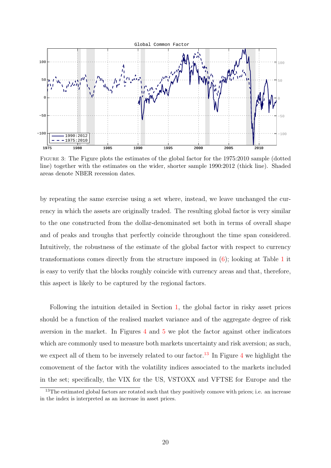<span id="page-20-0"></span>

Figure 3: The Figure plots the estimates of the global factor for the 1975:2010 sample (dotted line) together with the estimates on the wider, shorter sample 1990:2012 (thick line). Shaded areas denote NBER recession dates.

by repeating the same exercise using a set where, instead, we leave unchanged the currency in which the assets are originally traded. The resulting global factor is very similar to the one constructed from the dollar-denominated set both in terms of overall shape and of peaks and troughs that perfectly coincide throughout the time span considered. Intuitively, the robustness of the estimate of the global factor with respect to currency transformations comes directly from the structure imposed in [\(6\)](#page-16-1); looking at Table [1](#page-18-0) it is easy to verify that the blocks roughly coincide with currency areas and that, therefore, this aspect is likely to be captured by the regional factors.

Following the intuition detailed in Section [1,](#page-7-0) the global factor in risky asset prices should be a function of the realised market variance and of the aggregate degree of risk aversion in the market. In Figures [4](#page-21-0) and [5](#page-22-0) we plot the factor against other indicators which are commonly used to measure both markets uncertainty and risk aversion; as such, we expect all of them to be inversely related to our factor.<sup>[13](#page-20-1)</sup> In Figure [4](#page-21-0) we highlight the comovement of the factor with the volatility indices associated to the markets included in the set; specifically, the VIX for the US, VSTOXX and VFTSE for Europe and the

<span id="page-20-1"></span><sup>&</sup>lt;sup>13</sup>The estimated global factors are rotated such that they positively comove with prices; i.e. an increase in the index is interpreted as an increase in asset prices.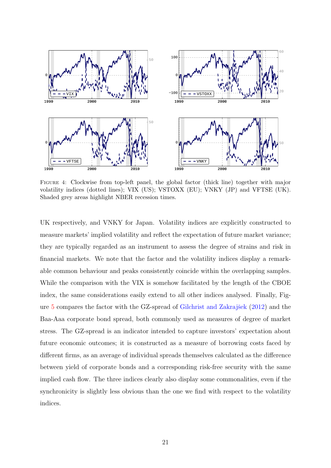<span id="page-21-0"></span>

Figure 4: Clockwise from top-left panel, the global factor (thick line) together with major volatility indices (dotted lines); VIX (US); VSTOXX (EU); VNKY (JP) and VFTSE (UK). Shaded grey areas highlight NBER recession times.

UK respectively, and VNKY for Japan. Volatility indices are explicitly constructed to measure markets' implied volatility and reflect the expectation of future market variance; they are typically regarded as an instrument to assess the degree of strains and risk in financial markets. We note that the factor and the volatility indices display a remarkable common behaviour and peaks consistently coincide within the overlapping samples. While the comparison with the VIX is somehow facilitated by the length of the CBOE index, the same considerations easily extend to all other indices analysed. Finally, Fig-ure [5](#page-22-0) compares the factor with the GZ-spread of Gilchrist and Zakrajšek  $(2012)$  and the Baa-Aaa corporate bond spread, both commonly used as measures of degree of market stress. The GZ-spread is an indicator intended to capture investors' expectation about future economic outcomes; it is constructed as a measure of borrowing costs faced by different firms, as an average of individual spreads themselves calculated as the difference between yield of corporate bonds and a corresponding risk-free security with the same implied cash flow. The three indices clearly also display some commonalities, even if the synchronicity is slightly less obvious than the one we find with respect to the volatility indices.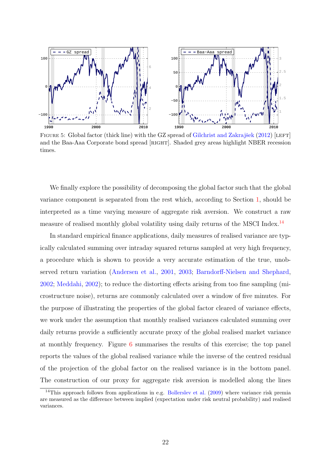<span id="page-22-0"></span>

FIGURE 5: Global factor (thick line) with the GZ spread of Gilchrist and Zakrajšek  $(2012)$  [LEFT] and the Baa-Aaa Corporate bond spread [RIGHT]. Shaded grey areas highlight NBER recession times.

We finally explore the possibility of decomposing the global factor such that the global variance component is separated from the rest which, according to Section [1,](#page-7-0) should be interpreted as a time varying measure of aggregate risk aversion. We construct a raw measure of realised monthly global volatility using daily returns of the MSCI Index.<sup>[14](#page-22-1)</sup>

In standard empirical finance applications, daily measures of realised variance are typically calculated summing over intraday squared returns sampled at very high frequency, a procedure which is shown to provide a very accurate estimation of the true, unobserved return variation [\(Andersen et al.,](#page-40-9) [2001,](#page-40-9) [2003;](#page-40-10) [Barndorff-Nielsen and Shephard,](#page-40-11) [2002;](#page-40-11) [Meddahi,](#page-44-5) [2002\)](#page-44-5); to reduce the distorting effects arising from too fine sampling (microstructure noise), returns are commonly calculated over a window of five minutes. For the purpose of illustrating the properties of the global factor cleared of variance effects, we work under the assumption that monthly realised variances calculated summing over daily returns provide a sufficiently accurate proxy of the global realised market variance at monthly frequency. Figure [6](#page-23-1) summarises the results of this exercise; the top panel reports the values of the global realised variance while the inverse of the centred residual of the projection of the global factor on the realised variance is in the bottom panel. The construction of our proxy for aggregate risk aversion is modelled along the lines

<span id="page-22-1"></span><sup>&</sup>lt;sup>14</sup>This approach follows from applications in e.g. [Bollerslev et al.](#page-41-10)  $(2009)$  where variance risk premia are measured as the difference between implied (expectation under risk neutral probability) and realised variances.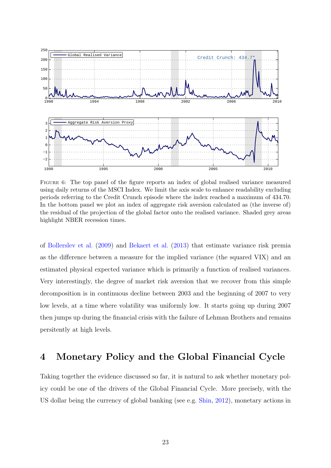<span id="page-23-1"></span>

Figure 6: The top panel of the figure reports an index of global realised variance measured using daily returns of the MSCI Index. We limit the axis scale to enhance readability excluding periods referring to the Credit Crunch episode where the index reached a maximum of 434.70. In the bottom panel we plot an index of aggregate risk aversion calculated as (the inverse of) the residual of the projection of the global factor onto the realised variance. Shaded grey areas highlight NBER recession times.

of [Bollerslev et al.](#page-41-10) [\(2009\)](#page-41-10) and [Bekaert et al.](#page-40-1) [\(2013\)](#page-40-1) that estimate variance risk premia as the difference between a measure for the implied variance (the squared VIX) and an estimated physical expected variance which is primarily a function of realised variances. Very interestingly, the degree of market risk aversion that we recover from this simple decomposition is in continuous decline between 2003 and the beginning of 2007 to very low levels, at a time where volatility was uniformly low. It starts going up during 2007 then jumps up during the financial crisis with the failure of Lehman Brothers and remains persitently at high levels.

# <span id="page-23-0"></span>4 Monetary Policy and the Global Financial Cycle

Taking together the evidence discussed so far, it is natural to ask whether monetary policy could be one of the drivers of the Global Financial Cycle. More precisely, with the US dollar being the currency of global banking (see e.g. [Shin,](#page-45-3) [2012\)](#page-45-3), monetary actions in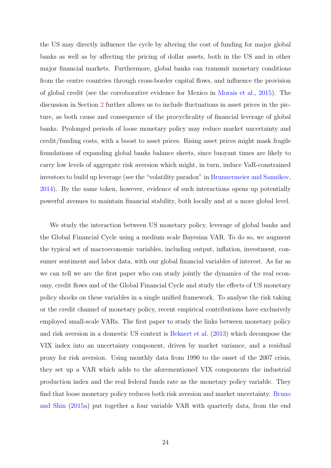the US may directly influence the cycle by altering the cost of funding for major global banks as well as by affecting the pricing of dollar assets, both in the US and in other major financial markets. Furthermore, global banks can transmit monetary conditions from the centre countries through cross-border capital flows, and influence the provision of global credit (see the corroborative evidence for Mexico in [Morais et al.,](#page-44-2) [2015\)](#page-44-2). The discussion in Section [2](#page-11-0) further allows us to include fluctuations in asset prices in the picture, as both cause and consequence of the procyclicality of financial leverage of global banks. Prolonged periods of loose monetary policy may reduce market uncertainty and credit/funding costs, with a boost to asset prices. Rising asset prices might mask fragile foundations of expanding global banks balance sheets, since buoyant times are likely to carry low levels of aggregate risk aversion which might, in turn, induce VaR-constrained investors to build up leverage (see the "volatility paradox" in [Brunnermeier and Sannikov,](#page-41-4) [2014\)](#page-41-4). By the same token, however, evidence of such interactions opens up potentially powerful avenues to maintain financial stability, both locally and at a more global level.

We study the interaction between US monetary policy, leverage of global banks and the Global Financial Cycle using a medium scale Bayesian VAR. To do so, we augment the typical set of macroeconomic variables, including output, inflation, investment, consumer sentiment and labor data, with our global financial variables of interest. As far as we can tell we are the first paper who can study jointly the dynamics of the real economy, credit flows and of the Global Financial Cycle and study the effects of US monetary policy shocks on these variables in a single unified framework. To analyse the risk taking or the credit channel of monetary policy, recent empirical contributions have exclusively employed small-scale VARs. The first paper to study the links between monetary policy and risk aversion in a domestic US context is [Bekaert et al.](#page-40-1) [\(2013\)](#page-40-1) which decompose the VIX index into an uncertainty component, driven by market variance, and a residual proxy for risk aversion. Using monthly data from 1990 to the onset of the 2007 crisis, they set up a VAR which adds to the aforementioned VIX components the industrial production index and the real federal funds rate as the monetary policy variable. They find that loose monetary policy reduces both risk aversion and market uncertainty. [Bruno](#page-41-0) [and Shin](#page-41-0) [\(2015a\)](#page-41-0) put together a four variable VAR with quarterly data, from the end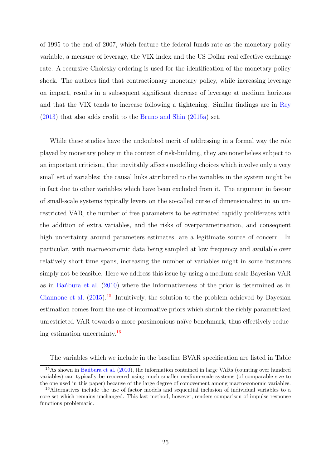of 1995 to the end of 2007, which feature the federal funds rate as the monetary policy variable, a measure of leverage, the VIX index and the US Dollar real effective exchange rate. A recursive Cholesky ordering is used for the identification of the monetary policy shock. The authors find that contractionary monetary policy, while increasing leverage on impact, results in a subsequent significant decrease of leverage at medium horizons and that the VIX tends to increase following a tightening. Similar findings are in [Rey](#page-45-0) [\(2013\)](#page-45-0) that also adds credit to the [Bruno and Shin](#page-41-0) [\(2015a\)](#page-41-0) set.

While these studies have the undoubted merit of addressing in a formal way the role played by monetary policy in the context of risk-building, they are nonetheless subject to an important criticism, that inevitably affects modelling choices which involve only a very small set of variables: the causal links attributed to the variables in the system might be in fact due to other variables which have been excluded from it. The argument in favour of small-scale systems typically levers on the so-called curse of dimensionality; in an unrestricted VAR, the number of free parameters to be estimated rapidly proliferates with the addition of extra variables, and the risks of overparametrisation, and consequent high uncertainty around parameters estimates, are a legitimate source of concern. In particular, with macroeconomic data being sampled at low frequency and available over relatively short time spans, increasing the number of variables might in some instances simply not be feasible. Here we address this issue by using a medium-scale Bayesian VAR as in Ban<sup>o</sup>bura et al.  $(2010)$  where the informativeness of the prior is determined as in [Giannone et al.](#page-43-1)  $(2015)$ .<sup>[15](#page-25-0)</sup> Intuitively, the solution to the problem achieved by Bayesian estimation comes from the use of informative priors which shrink the richly parametrized unrestricted VAR towards a more parsimonious naïve benchmark, thus effectively reducing estimation uncertainty.[16](#page-25-1)

The variables which we include in the baseline BVAR specification are listed in Table

<span id="page-25-0"></span><sup>&</sup>lt;sup>15</sup>As shown in Ban<sup>thura</sup> et al.  $(2010)$ , the information contained in large VARs (counting over hundred variables) can typically be recovered using much smaller medium-scale systems (of comparable size to the one used in this paper) because of the large degree of comovement among macroeconomic variables.

<span id="page-25-1"></span><sup>&</sup>lt;sup>16</sup>Alternatives include the use of factor models and sequential inclusion of individual variables to a core set which remains unchanged. This last method, however, renders comparison of impulse response functions problematic.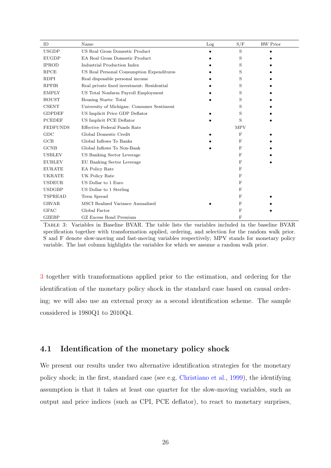<span id="page-26-0"></span>

| ID              | Name                                       | Log | S/F        | RW Prior |  |
|-----------------|--------------------------------------------|-----|------------|----------|--|
| <b>USGDP</b>    | US Real Gross Domestic Product             |     | S          |          |  |
| <b>EUGDP</b>    | <b>EA Real Gross Domestic Product</b>      |     | S          |          |  |
| <b>IPROD</b>    | Industrial Production Index                |     | S          |          |  |
| <b>RPCE</b>     | US Real Personal Consumption Expenditures  |     | S          |          |  |
| <b>RDPI</b>     | Real disposable personal income            |     | S          |          |  |
| <b>RPFIR</b>    | Real private fixed investment: Residential |     | S          |          |  |
| <b>EMPLY</b>    | US Total Nonfarm Payroll Employment        |     | S          |          |  |
| <b>HOUST</b>    | Housing Starts: Total                      |     | S          |          |  |
| <b>CSENT</b>    | University of Michigan: Consumer Sentiment |     | S          |          |  |
| <b>GDPDEF</b>   | US Implicit Price GDP Deflator             |     | S          |          |  |
| <b>PCEDEF</b>   | US Implicit PCE Deflator                   |     | S          |          |  |
| <b>FEDFUNDS</b> | Effective Federal Funds Rate               |     | <b>MPV</b> |          |  |
| GDC             | Global Domestic Credit                     |     | $_{\rm F}$ |          |  |
| GCB             | Global Inflows To Banks                    |     | F          |          |  |
| <b>GCNB</b>     | Global Inflows To Non-Bank                 |     | F          |          |  |
| <b>USBLEV</b>   | US Banking Sector Leverage                 |     | F          |          |  |
| <b>EUBLEV</b>   | EU Banking Sector Leverage                 |     | F          |          |  |
| <b>EURATE</b>   | EA Policy Rate                             |     | F          |          |  |
| <b>UKRATE</b>   | UK Policy Rate                             |     | F          |          |  |
| <b>USDEUR</b>   | US Dollar to 1 Euro                        |     | F          |          |  |
| <b>USDGBP</b>   | US Dollar to 1 Sterling                    |     | F          |          |  |
| <b>TSPREAD</b>  | Term Spread                                |     | F          |          |  |
| <b>GRVAR</b>    | MSCI Realised Variance Annualised          |     | F          |          |  |
| <b>GFAC</b>     | Global Factor                              |     | F          |          |  |
| <b>GZEBP</b>    | GZ Excess Bond Premium                     |     | F          |          |  |

Table 3: Variables in Baseline BVAR. The table lists the variables included in the baseline BVAR specification together with transformation applied, ordering, and selection for the random walk prior. S and F denote slow-moving and fast-moving variables respectively; MPV stands for monetary policy variable. The last column highlights the variables for which we assume a random walk prior.

[3](#page-26-0) together with transformations applied prior to the estimation, and ordering for the identification of the monetary policy shock in the standard case based on causal ordering; we will also use an external proxy as a second identification scheme. The sample considered is 1980Q1 to 2010Q4.

## 4.1 Identification of the monetary policy shock

We present our results under two alternative identification strategies for the monetary policy shock; in the first, standard case (see e.g. [Christiano et al.,](#page-41-8) [1999\)](#page-41-8), the identifying assumption is that it takes at least one quarter for the slow-moving variables, such as output and price indices (such as CPI, PCE deflator), to react to monetary surprises,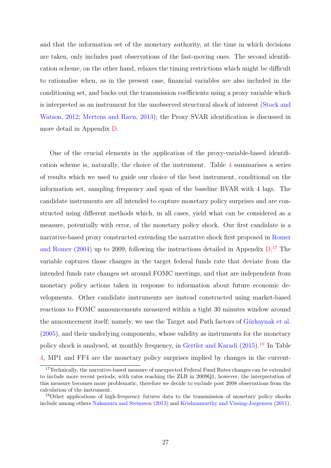and that the information set of the monetary authority, at the time in which decisions are taken, only includes past observations of the fast-moving ones. The second identification scheme, on the other hand, relaxes the timing restrictions which might be difficult to rationalise when, as in the present case, financial variables are also included in the conditioning set, and backs out the transmission coefficients using a proxy variable which is interpreted as an instrument for the unobserved structural shock of interest [\(Stock and](#page-46-1) [Watson,](#page-46-1) [2012;](#page-46-1) [Mertens and Ravn,](#page-44-3) [2013\)](#page-44-3); the Proxy SVAR identification is discussed in more detail in Appendix [D.](#page-60-0)

One of the crucial elements in the application of the proxy-variable-based identification scheme is, naturally, the choice of the instrument. Table [4](#page-29-0) summarises a series of results which we used to guide our choice of the best instrument, conditional on the information set, sampling frequency and span of the baseline BVAR with 4 lags. The candidate instruments are all intended to capture monetary policy surprises and are constructed using different methods which, in all cases, yield what can be considered as a measure, potentially with error, of the monetary policy shock. Our first candidate is a narrative-based proxy constructed extending the narrative shock first proposed in [Romer](#page-45-6) [and Romer](#page-45-6)  $(2004)$  up to 2009, following the instructions detailed in Appendix  $D^{17}$  $D^{17}$  $D^{17}$ . The variable captures those changes in the target federal funds rate that deviate from the intended funds rate changes set around FOMC meetings, and that are independent from monetary policy actions taken in response to information about future economic developments. Other candidate instruments are instead constructed using market-based reactions to FOMC announcements measured within a tight 30 minutes window around the announcement itself; namely, we use the Target and Path factors of Gürkaynak et al. [\(2005\)](#page-43-8), and their underlying components, whose validity as instruments for the monetary policy shock is analysed, at monthly frequency, in [Gertler and Karadi](#page-42-2) [\(2015\)](#page-42-2).[18](#page-27-1) In Table [4,](#page-29-0) MP1 and FF4 are the monetary policy surprises implied by changes in the current-

<span id="page-27-0"></span><sup>&</sup>lt;sup>17</sup>Technically, the narrative-based measure of unexpected Federal Fund Rates changes can be extended to include more recent periods; with rates reaching the ZLB in 2009Q1, however, the interpretation of this measure becomes more problematic, therefore we decide to exclude post 2008 observations from the calculation of the instrument.

<span id="page-27-1"></span><sup>&</sup>lt;sup>18</sup>Other applications of high-frequency futures data to the transmission of monetary policy shocks include among others [Nakamura and Steinsson](#page-44-6) [\(2013\)](#page-44-6) and [Krishnamurthy and Vissing-Jorgensen](#page-44-7) [\(2011\)](#page-44-7).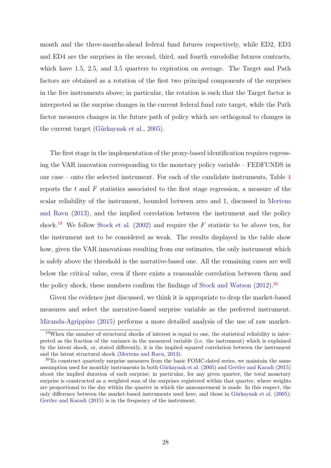month and the three-months-ahead federal fund futures respectively, while ED2, ED3 and ED4 are the surprises in the second, third, and fourth eurodollar futures contracts, which have 1.5, 2.5, and 3.5 quarters to expiration on average. The Target and Path factors are obtained as a rotation of the first two principal components of the surprises in the five instruments above; in particular, the rotation is such that the Target factor is interpreted as the surprise changes in the current federal fund rate target, while the Path factor measures changes in the future path of policy which are orthogonal to changes in the current target (Gürkaynak et al.,  $2005$ ).

The first stage in the implementation of the proxy-based identification requires regressing the VAR innovation corresponding to the monetary policy variable – FEDFUNDS in our case – onto the selected instrument. For each of the candidate instruments, Table [4](#page-29-0) reports the  $t$  and  $F$  statistics associated to the first stage regression, a measure of the scalar reliability of the instrument, bounded between zero and 1, discussed in [Mertens](#page-44-3) [and Ravn](#page-44-3) [\(2013\)](#page-44-3), and the implied correlation between the instrument and the policy shock.<sup>[19](#page-28-0)</sup> We follow [Stock et al.](#page-46-2) [\(2002\)](#page-46-2) and require the F statistic to be above ten, for the instrument not to be considered as weak. The results displayed in the table show how, given the VAR innovations resulting from our estimates, the only instrument which is safely above the threshold is the narrative-based one. All the remaining cases are well below the critical value, even if there exists a reasonable correlation between them and the policy shock; these numbers confirm the findings of [Stock and Watson](#page-46-1) [\(2012\)](#page-46-1).[20](#page-28-1)

Given the evidence just discussed, we think it is appropriate to drop the market-based measures and select the narrative-based surprise variable as the preferred instrument. [Miranda-Agrippino](#page-44-8) [\(2015\)](#page-44-8) performs a more detailed analysis of the use of raw market-

<span id="page-28-0"></span><sup>&</sup>lt;sup>19</sup>When the number of structural shocks of interest is equal to one, the statistical reliability is interpreted as the fraction of the variance in the measured variable (i.e. the instrument) which is explained by the latent shock, or, stated differently, it is the implied squared correlation between the instrument and the latent structural shock [\(Mertens and Ravn,](#page-44-3) [2013\)](#page-44-3).

<span id="page-28-1"></span><sup>&</sup>lt;sup>20</sup>To construct quarterly surprise measures from the basic FOMC-dated series, we maintain the same assumption used for monthly instruments in both Gürkaynak et al. [\(2005\)](#page-43-8) and [Gertler and Karadi](#page-42-2) [\(2015\)](#page-42-2) about the implied duration of each surprise; in particular, for any given quarter, the total monetary surprise is constructed as a weighted sum of the surprises registered within that quarter, where weights are proportional to the day within the quarter in which the announcement is made. In this respect, the only difference between the market-based instruments used here, and those in Gürkaynak et al. [\(2005\)](#page-43-8); [Gertler and Karadi](#page-42-2) [\(2015\)](#page-42-2) is in the frequency of the instrument.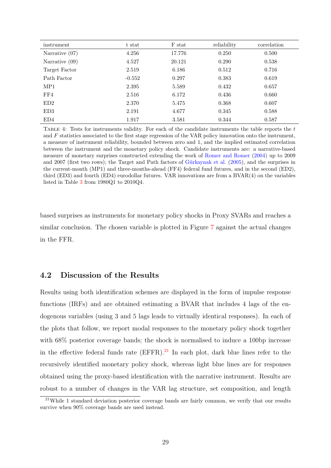<span id="page-29-0"></span>

| instrument       | t stat   | F stat | reliability | correlation |
|------------------|----------|--------|-------------|-------------|
| Narrative $(07)$ | 4.256    | 17.776 | 0.250       | 0.500       |
| Narrative $(09)$ | 4.527    | 20.121 | 0.290       | 0.538       |
| Target Factor    | 2.519    | 6.186  | 0.512       | 0.716       |
| Path Factor      | $-0.552$ | 0.297  | 0.383       | 0.619       |
| MP1              | 2.395    | 5.589  | 0.432       | 0.657       |
| FF4              | 2.516    | 6.172  | 0.436       | 0.660       |
| ED2              | 2.370    | 5.475  | 0.368       | 0.607       |
| ED3              | 2.191    | 4.677  | 0.345       | 0.588       |
| ED4              | 1.917    | 3.581  | 0.344       | 0.587       |

Table 4: Tests for instruments validity. For each of the candidate instruments the table reports the t and  $F$  statistics associated to the first stage regression of the VAR policy innovation onto the instrument, a measure of instrument reliability, bounded between zero and 1, and the implied estimated correlation between the instrument and the monetary policy shock. Candidate instruments are: a narrative-based measure of monetary surprises constructed extending the work of [Romer and Romer](#page-45-6) [\(2004\)](#page-45-6) up to 2009 and 2007 (first two rows); the Target and Path factors of Gürkaynak et al. [\(2005\)](#page-43-8), and the surprises in the current-month (MP1) and three-months-ahead (FF4) federal fund futures, and in the second (ED2), third (ED3) and fourth (ED4) eurodollar futures. VAR innovations are from a BVAR(4) on the variables listed in Table [3](#page-26-0) from 1980Q1 to 2010Q4.

based surprises as instruments for monetary policy shocks in Proxy SVARs and reaches a similar conclusion. The chosen variable is plotted in Figure [7](#page-30-0) against the actual changes in the FFR.

## 4.2 Discussion of the Results

Results using both identification schemes are displayed in the form of impulse response functions (IRFs) and are obtained estimating a BVAR that includes 4 lags of the endogenous variables (using 3 and 5 lags leads to virtually identical responses). In each of the plots that follow, we report modal responses to the monetary policy shock together with  $68\%$  posterior coverage bands; the shock is normalised to induce a 100 bp increase in the effective federal funds rate  $(EFFR).<sup>21</sup>$  $(EFFR).<sup>21</sup>$  $(EFFR).<sup>21</sup>$  In each plot, dark blue lines refer to the recursively identified monetary policy shock, whereas light blue lines are for responses obtained using the proxy-based identification with the narrative instrument. Results are robust to a number of changes in the VAR lag structure, set composition, and length

<span id="page-29-1"></span> $^{21}$ While 1 standard deviation posterior coverage bands are fairly common, we verify that our results survive when 90% coverage bands are used instead.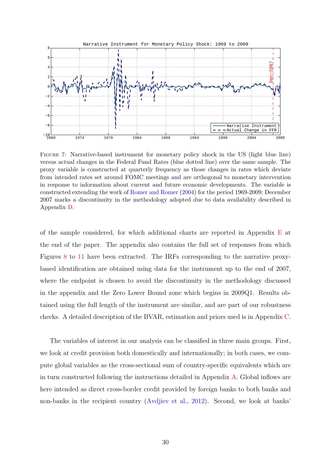<span id="page-30-0"></span>

Figure 7: Narrative-based instrument for monetary policy shock in the US (light blue line) versus actual changes in the Federal Fund Rates (blue dotted line) over the same sample. The proxy variable is constructed at quarterly frequency as those changes in rates which deviate from intended rates set around FOMC meetings and are orthogonal to monetary intervention in response to information about current and future economic developments. The variable is constructed extending the work of [Romer and Romer](#page-45-6) [\(2004\)](#page-45-6) for the period 1969-2009; December 2007 marks a discontinuity in the methodology adopted due to data availability described in Appendix [D.](#page-60-0)

of the sample considered, for which additional charts are reported in Appendix  $E$  at the end of the paper. The appendix also contains the full set of responses from which Figures [8](#page-32-0) to [11](#page-36-0) have been extracted. The IRFs corresponding to the narrative proxybased identification are obtained using data for the instrument up to the end of 2007, where the endpoint is chosen to avoid the discontinuity in the methodology discussed in the appendix and the Zero Lower Bound zone which begins in 2009Q1. Results obtained using the full length of the instrument are similar, and are part of our robustness checks. A detailed description of the BVAR, estimation and priors used is in Appendix [C.](#page-56-0)

The variables of interest in our analysis can be classified in three main groups. First, we look at credit provision both domestically and internationally; in both cases, we compute global variables as the cross-sectional sum of country-specific equivalents which are in turn constructed following the instructions detailed in Appendix [A.](#page-47-0) Global inflows are here intended as direct cross-border credit provided by foreign banks to both banks and non-banks in the recipient country [\(Avdjiev et al.,](#page-40-12) [2012\)](#page-40-12). Second, we look at banks'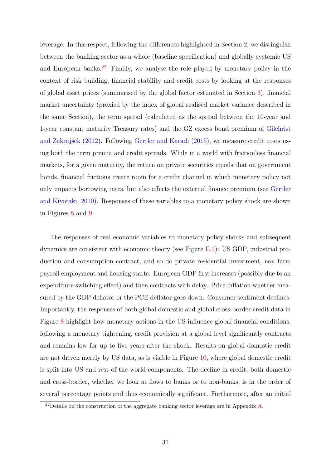leverage. In this respect, following the differences highlighted in Section [2,](#page-11-0) we distinguish between the banking sector as a whole (baseline specification) and globally systemic US and European banks.<sup>[22](#page-31-0)</sup> Finally, we analyse the role played by monetary policy in the context of risk building, financial stability and credit costs by looking at the responses of global asset prices (summarised by the global factor estimated in Section [3\)](#page-15-0), financial market uncertainty (proxied by the index of global realised market variance described in the same Section), the term spread (calculated as the spread between the 10-year and 1-year constant maturity Treasury rates) and the GZ excess bond premium of [Gilchrist](#page-43-7) and Zakrajšek  $(2012)$ . Following [Gertler and Karadi](#page-42-2)  $(2015)$ , we measure credit costs using both the term premia and credit spreads. While in a world with frictionless financial markets, for a given maturity, the return on private securities equals that on government bonds, financial frictions create room for a credit channel in which monetary policy not only impacts borrowing rates, but also affects the external finance premium (see [Gertler](#page-43-4) [and Kiyotaki,](#page-43-4) [2010\)](#page-43-4). Responses of these variables to a monetary policy shock are shown in Figures [8](#page-32-0) and [9.](#page-33-0)

The responses of real economic variables to monetary policy shocks and subsequent dynamics are consistent with economic theory (see Figure [E.1\)](#page-64-0): US GDP, industrial production and consumption contract, and so do private residential investment, non farm payroll employment and housing starts. European GDP first increases (possibly due to an expenditure switching effect) and then contracts with delay. Price inflation whether measured by the GDP deflator or the PCE deflator goes down. Consumer sentiment declines. Importantly, the responses of both global domestic and global cross-border credit data in Figure [8](#page-32-0) highlight how monetary actions in the US influence global financial conditions; following a monetary tightening, credit provision at a global level significantly contracts and remains low for up to five years after the shock. Results on global domestic credit are not driven merely by US data, as is visible in Figure [10,](#page-34-0) where global domestic credit is split into US and rest of the world components. The decline in credit, both domestic and cross-border, whether we look at flows to banks or to non-banks, is in the order of several percentage points and thus economically significant. Furthermore, after an initial

<span id="page-31-0"></span><sup>&</sup>lt;sup>22</sup>Details on the construction of the aggregate banking sector leverage are in Appendix [A.](#page-47-0)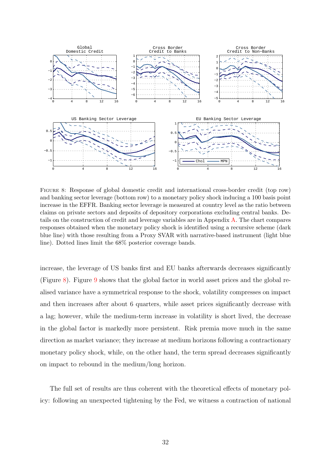<span id="page-32-0"></span>

Figure 8: Response of global domestic credit and international cross-border credit (top row) and banking sector leverage (bottom row) to a monetary policy shock inducing a 100 basis point increase in the EFFR. Banking sector leverage is measured at country level as the ratio between claims on private sectors and deposits of depository corporations excluding central banks. Details on the construction of credit and leverage variables are in Appendix [A.](#page-47-0) The chart compares responses obtained when the monetary policy shock is identified using a recursive scheme (dark blue line) with those resulting from a Proxy SVAR with narrative-based instrument (light blue line). Dotted lines limit the 68% posterior coverage bands.

increase, the leverage of US banks first and EU banks afterwards decreases significantly (Figure [8\)](#page-32-0). Figure [9](#page-33-0) shows that the global factor in world asset prices and the global realised variance have a symmetrical response to the shock, volatility compresses on impact and then increases after about 6 quarters, while asset prices significantly decrease with a lag; however, while the medium-term increase in volatility is short lived, the decrease in the global factor is markedly more persistent. Risk premia move much in the same direction as market variance; they increase at medium horizons following a contractionary monetary policy shock, while, on the other hand, the term spread decreases significantly on impact to rebound in the medium/long horizon.

The full set of results are thus coherent with the theoretical effects of monetary policy: following an unexpected tightening by the Fed, we witness a contraction of national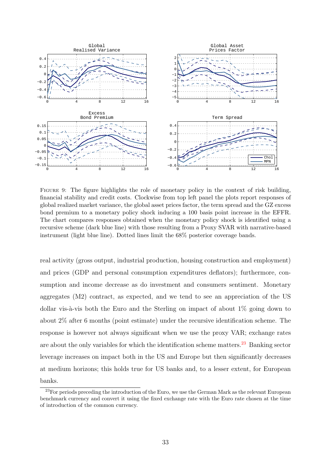<span id="page-33-0"></span>

Figure 9: The figure highlights the role of monetary policy in the context of risk building, financial stability and credit costs. Clockwise from top left panel the plots report responses of global realized market variance, the global asset prices factor, the term spread and the GZ excess bond premium to a monetary policy shock inducing a 100 basis point increase in the EFFR. The chart compares responses obtained when the monetary policy shock is identified using a recursive scheme (dark blue line) with those resulting from a Proxy SVAR with narrative-based instrument (light blue line). Dotted lines limit the 68% posterior coverage bands.

real activity (gross output, industrial production, housing construction and employment) and prices (GDP and personal consumption expenditures deflators); furthermore, consumption and income decrease as do investment and consumers sentiment. Monetary aggregates (M2) contract, as expected, and we tend to see an appreciation of the US dollar vis- $\alpha$ -vis both the Euro and the Sterling on impact of about 1% going down to about 2% after 6 months (point estimate) under the recursive identification scheme. The response is however not always significant when we use the proxy VAR; exchange rates are about the only variables for which the identification scheme matters.<sup>[23](#page-33-1)</sup> Banking sector leverage increases on impact both in the US and Europe but then significantly decreases at medium horizons; this holds true for US banks and, to a lesser extent, for European banks.

<span id="page-33-1"></span><sup>&</sup>lt;sup>23</sup>For periods preceding the introduction of the Euro, we use the German Mark as the relevant European benchmark currency and convert it using the fixed exchange rate with the Euro rate chosen at the time of introduction of the common currency.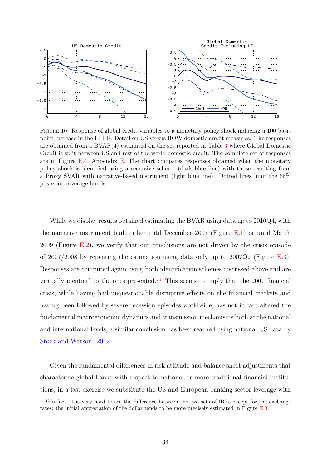<span id="page-34-0"></span>

Figure 10: Response of global credit variables to a monetary policy shock inducing a 100 basis point increase in the EFFR. Detail on US versus ROW domestic credit measures. The responses are obtained from a BVAR(4) estimated on the set reported in Table [3](#page-26-0) where Global Domestic Credit is split between US and rest of the world domestic credit. The complete set of responses are in Figure [E.4,](#page-67-0) Appendix [E.](#page-63-0) The chart compares responses obtained when the monetary policy shock is identified using a recursive scheme (dark blue line) with those resulting from a Proxy SVAR with narrative-based instrument (light blue line). Dotted lines limit the 68% posterior coverage bands.

While we display results obtained estimating the BVAR using data up to 2010Q4, with the narrative instrument built either until December 2007 (Figure [E.1\)](#page-64-0) or until March 2009 (Figure  $E.2$ ), we verify that our conclusions are not driven by the crisis episode of 2007/2008 by repeating the estimation using data only up to  $2007Q2$  (Figure [E.3\)](#page-66-0). Responses are computed again using both identification schemes discussed above and are virtually identical to the ones presented.<sup>[24](#page-34-1)</sup> This seems to imply that the 2007 financial crisis, while having had unquestionable disruptive effects on the financial markets and having been followed by severe recession episodes worldwide, has not in fact altered the fundamental macroeconomic dynamics and transmission mechanisms both at the national and international levels; a similar conclusion has been reached using national US data by [Stock and Watson](#page-46-1) [\(2012\)](#page-46-1).

Given the fundamental differences in risk attitude and balance sheet adjustments that characterize global banks with respect to national or more traditional financial institutions, in a last exercise we substitute the US and European banking sector leverage with

<span id="page-34-1"></span> $^{24}$ In fact, it is very hard to see the difference between the two sets of IRFs except for the exchange rates: the initial appreciation of the dollar tends to be more precisely estimated in Figure [E.3.](#page-66-0)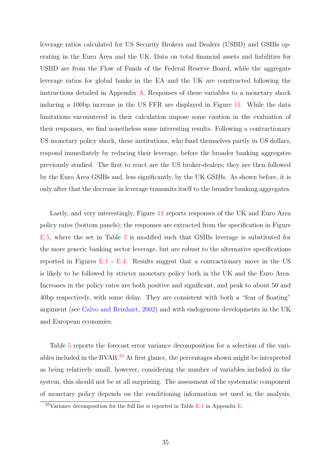leverage ratios calculated for US Security Brokers and Dealers (USBD) and GSIBs operating in the Euro Area and the UK. Data on total financial assets and liabilities for USBD are from the Flow of Funds of the Federal Reserve Board, while the aggregate leverage ratios for global banks in the EA and the UK are constructed following the instructions detailed in Appendix [A.](#page-47-0) Responses of these variables to a monetary shock inducing a 100bp increase in the US FFR are displayed in Figure [11.](#page-36-0) While the data limitations encountered in their calculation impose some caution in the evaluation of their responses, we find nonetheless some interesting results. Following a contractionary US monetary policy shock, these institutions, who fund themselves partly in US dollars, respond immediately by reducing their leverage, before the broader banking aggregates previously studied. The first to react are the US broker-dealers; they are then followed by the Euro Area GSIBs and, less significantly, by the UK GSIBs. As shown before, it is only after that the decrease in leverage transmits itself to the broader banking aggregates.

Lastly, and very interestingly, Figure [11](#page-36-0) reports responses of the UK and Euro Area policy rates (bottom panels); the responses are extracted from the specification in Figure [E.5,](#page-68-0) where the set in Table [3](#page-26-0) is modified such that GSIBs leverage is substituted for the more generic banking sector leverage, but are robust to the alternative specifications reported in Figures [E.1](#page-64-0) - [E.4.](#page-67-0) Results suggest that a contractionary move in the US is likely to be followed by stricter monetary policy both in the UK and the Euro Area. Increases in the policy rates are both positive and significant, and peak to about 50 and 40bp respectively, with some delay. They are consistent with both a "fear of floating" argument (see [Calvo and Reinhart,](#page-41-11) [2002\)](#page-41-11) and with endogenous developments in the UK and European economies.

Table [5](#page-37-1) reports the forecast error variance decomposition for a selection of the vari-ables included in the BVAR.<sup>[25](#page-35-0)</sup> At first glance, the percentages shown might be interpreted as being relatively small, however, considering the number of variables included in the system, this should not be at all surprising. The assessment of the systematic component of monetary policy depends on the conditioning information set used in the analysis,

<span id="page-35-0"></span><sup>&</sup>lt;sup>25</sup>Variance decomposition for the full list is reported in Table [E.1](#page-63-1) in Appendix [E.](#page-63-0)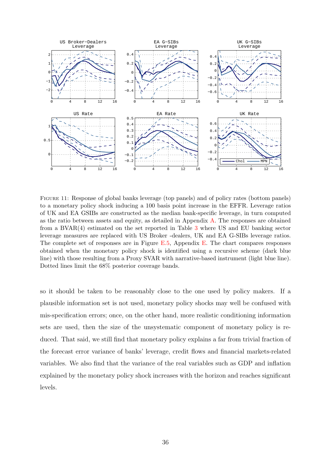<span id="page-36-0"></span>

Figure 11: Response of global banks leverage (top panels) and of policy rates (bottom panels) to a monetary policy shock inducing a 100 basis point increase in the EFFR. Leverage ratios of UK and EA GSIBs are constructed as the median bank-specific leverage, in turn computed as the ratio between assets and equity, as detailed in Appendix [A.](#page-47-0) The responses are obtained from a BVAR(4) estimated on the set reported in Table [3](#page-26-0) where US and EU banking sector leverage measures are replaced with US Broker -dealers, UK and EA G-SIBs leverage ratios. The complete set of responses are in Figure [E.5,](#page-68-0) Appendix [E.](#page-63-0) The chart compares responses obtained when the monetary policy shock is identified using a recursive scheme (dark blue line) with those resulting from a Proxy SVAR with narrative-based instrument (light blue line). Dotted lines limit the 68% posterior coverage bands.

so it should be taken to be reasonably close to the one used by policy makers. If a plausible information set is not used, monetary policy shocks may well be confused with mis-specification errors; once, on the other hand, more realistic conditioning information sets are used, then the size of the unsystematic component of monetary policy is reduced. That said, we still find that monetary policy explains a far from trivial fraction of the forecast error variance of banks' leverage, credit flows and financial markets-related variables. We also find that the variance of the real variables such as GDP and inflation explained by the monetary policy shock increases with the horizon and reaches significant levels.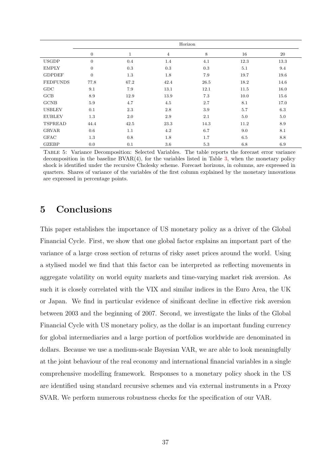<span id="page-37-1"></span>

|                 |                  |             |      | Horizon |      |      |
|-----------------|------------------|-------------|------|---------|------|------|
|                 | $\mathbf{0}$     | $\mathbf 1$ | 4    | 8       | 16   | 20   |
| <b>USGDP</b>    | $\mathbf{0}$     | $0.4\,$     | 1.4  | 4.1     | 12.3 | 13.3 |
| <b>EMPLY</b>    | $\boldsymbol{0}$ | 0.3         | 0.3  | 0.3     | 5.1  | 9.4  |
| <b>GDPDEF</b>   | $\theta$         | 1.3         | 1.8  | 7.9     | 19.7 | 19.6 |
| <b>FEDFUNDS</b> | 77.8             | 67.2        | 42.4 | 26.5    | 18.2 | 14.6 |
| GDC             | 9.1              | 7.9         | 13.1 | 12.1    | 11.5 | 16.0 |
| GCB             | 8.9              | 12.9        | 13.9 | 7.3     | 10.0 | 15.6 |
| <b>GCNB</b>     | 5.9              | 4.7         | 4.5  | 2.7     | 8.1  | 17.0 |
| <b>USBLEV</b>   | 0.1              | 2.3         | 2.8  | 3.9     | 5.7  | 6.3  |
| <b>EUBLEV</b>   | 1.3              | 2.0         | 2.9  | 2.1     | 5.0  | 5.0  |
| <b>TSPREAD</b>  | 44.4             | 42.5        | 23.3 | 14.3    | 11.2 | 8.9  |
| <b>GRVAR</b>    | 0.6              | 1.1         | 4.2  | 6.7     | 9.0  | 8.1  |
| <b>GFAC</b>     | 1.3              | 0.8         | 1.8  | 1.7     | 6.5  | 8.8  |
| <b>GZEBP</b>    | 0.0              | 0.1         | 3.6  | 5.3     | 6.8  | 6.9  |

Table 5: Variance Decomposition: Selected Variables. The table reports the forecast error variance decomposition in the baseline  $BVAR(4)$ , for the variables listed in Table [3,](#page-26-0) when the monetary policy shock is identified under the recursive Cholesky scheme. Forecast horizons, in columns, are expressed in quarters. Shares of variance of the variables of the first column explained by the monetary innovations are expressed in percentage points.

# <span id="page-37-0"></span>5 Conclusions

This paper establishes the importance of US monetary policy as a driver of the Global Financial Cycle. First, we show that one global factor explains an important part of the variance of a large cross section of returns of risky asset prices around the world. Using a stylised model we find that this factor can be interpreted as reflecting movements in aggregate volatility on world equity markets and time-varying market risk aversion. As such it is closely correlated with the VIX and similar indices in the Euro Area, the UK or Japan. We find in particular evidence of sinificant decline in effective risk aversion between 2003 and the beginning of 2007. Second, we investigate the links of the Global Financial Cycle with US monetary policy, as the dollar is an important funding currency for global intermediaries and a large portion of portfolios worldwide are denominated in dollars. Because we use a medium-scale Bayesian VAR, we are able to look meaningfully at the joint behaviour of the real economy and international financial variables in a single comprehensive modelling framework. Responses to a monetary policy shock in the US are identified using standard recursive schemes and via external instruments in a Proxy SVAR. We perform numerous robustness checks for the specification of our VAR.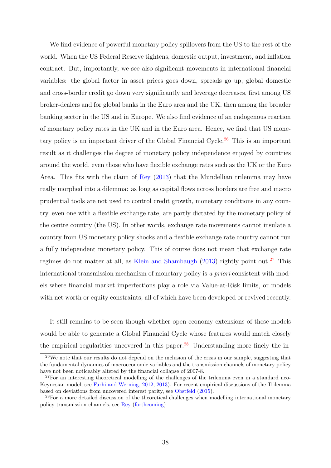We find evidence of powerful monetary policy spillovers from the US to the rest of the world. When the US Federal Reserve tightens, domestic output, investment, and inflation contract. But, importantly, we see also significant movements in international financial variables: the global factor in asset prices goes down, spreads go up, global domestic and cross-border credit go down very significantly and leverage decreases, first among US broker-dealers and for global banks in the Euro area and the UK, then among the broader banking sector in the US and in Europe. We also find evidence of an endogenous reaction of monetary policy rates in the UK and in the Euro area. Hence, we find that US mone-tary policy is an important driver of the Global Financial Cycle.<sup>[26](#page-38-0)</sup> This is an important result as it challenges the degree of monetary policy independence enjoyed by countries around the world, even those who have flexible exchange rates such as the UK or the Euro Area. This fits with the claim of [Rey](#page-45-0) [\(2013\)](#page-45-0) that the Mundellian trilemma may have really morphed into a dilemma: as long as capital flows across borders are free and macro prudential tools are not used to control credit growth, monetary conditions in any country, even one with a flexible exchange rate, are partly dictated by the monetary policy of the centre country (the US). In other words, exchange rate movements cannot insulate a country from US monetary policy shocks and a flexible exchange rate country cannot run a fully independent monetary policy. This of course does not mean that exchange rate regimes do not matter at all, as [Klein and Shambaugh](#page-43-9)  $(2013)$  rightly point out.<sup>[27](#page-38-1)</sup> This international transmission mechanism of monetary policy is a priori consistent with models where financial market imperfections play a role via Value-at-Risk limits, or models with net worth or equity constraints, all of which have been developed or revived recently.

It still remains to be seen though whether open economy extensions of these models would be able to generate a Global Financial Cycle whose features would match closely the empirical regularities uncovered in this paper.<sup>[28](#page-38-2)</sup> Understanding more finely the in-

<span id="page-38-0"></span> $26$ We note that our results do not depend on the inclusion of the crisis in our sample, suggesting that the fundamental dynamics of macroeconomic variables and the transmission channels of monetary policy have not been noticeably altered by the financial collapse of 2007-8.

<span id="page-38-1"></span> $27$ For an interesting theoretical modelling of the challenges of the trilemma even in a standard neo-Keynesian model, see [Farhi and Werning,](#page-42-7) [2012,](#page-42-7) [2013\)](#page-42-8). For recent empirical discussions of the Trilemma based on deviations from uncovered interest parity, see [Obstfeld](#page-44-9) [\(2015\)](#page-44-9).

<span id="page-38-2"></span><sup>&</sup>lt;sup>28</sup>For a more detailed discussion of the theoretical challenges when modelling international monetary policy transmission channels, see [Rey](#page-45-8) [\(forthcoming\)](#page-45-8)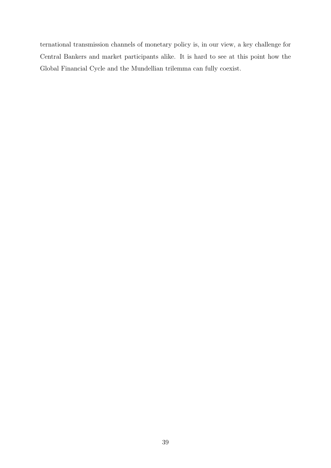ternational transmission channels of monetary policy is, in our view, a key challenge for Central Bankers and market participants alike. It is hard to see at this point how the Global Financial Cycle and the Mundellian trilemma can fully coexist.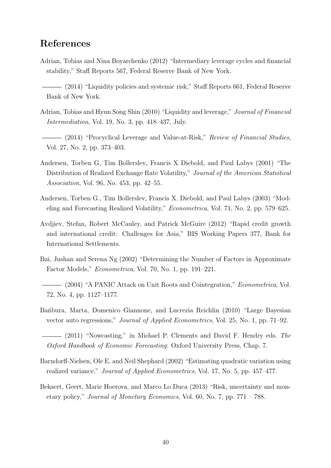# References

- <span id="page-40-5"></span><span id="page-40-3"></span>Adrian, Tobias and Nina Boyarchenko (2012) "Intermediary leverage cycles and financial stability," Staff Reports 567, Federal Reserve Bank of New York.
	- (2014) "Liquidity policies and systemic risk," Staff Reports 661, Federal Reserve Bank of New York.
- <span id="page-40-6"></span>Adrian, Tobias and Hyun Song Shin (2010) "Liquidity and leverage," Journal of Financial Intermediation, Vol. 19, No. 3, pp. 418–437, July.
- <span id="page-40-2"></span>(2014) "Procyclical Leverage and Value-at-Risk," Review of Financial Studies, Vol. 27, No. 2, pp. 373–403.
- <span id="page-40-9"></span>Andersen, Torben G, Tim Bollerslev, Francis X Diebold, and Paul Labys (2001) "The Distribution of Realized Exchange Rate Volatility," Journal of the American Statistical Association, Vol. 96, No. 453, pp. 42–55.
- <span id="page-40-10"></span>Andersen, Torben G., Tim Bollerslev, Francis X. Diebold, and Paul Labys (2003) "Modeling and Forecasting Realized Volatility," Econometrica, Vol. 71, No. 2, pp. 579–625.
- <span id="page-40-12"></span>Avdjiev, Stefan, Robert McCauley, and Patrick McGuire (2012) "Rapid credit growth and international credit: Challenges for Asia," BIS Working Papers 377, Bank for International Settlements.
- <span id="page-40-7"></span>Bai, Jushan and Serena Ng (2002) "Determining the Number of Factors in Approximate Factor Models," Econometrica, Vol. 70, No. 1, pp. 191–221.
- <span id="page-40-8"></span>(2004) "A PANIC Attack on Unit Roots and Cointegration," *Econometrica*, Vol. 72, No. 4, pp. 1127–1177.
- <span id="page-40-0"></span>Bañbura, Marta, Domenico Giannone, and Lucrezia Reichlin (2010) "Large Bayesian vector auto regressions," Journal of Applied Econometrics, Vol. 25, No. 1, pp. 71–92.
- <span id="page-40-4"></span>- (2011) "Nowcasting," in Michael P. Clements and David F. Hendry eds. The Oxford Handbook of Economic Forecasting: Oxford University Press, Chap. 7.
- <span id="page-40-11"></span>Barndorff-Nielsen, Ole E. and Neil Shephard (2002) "Estimating quadratic variation using realized variance," Journal of Applied Econometrics, Vol. 17, No. 5, pp. 457–477.
- <span id="page-40-1"></span>Bekaert, Geert, Marie Hoerova, and Marco Lo Duca (2013) "Risk, uncertainty and monetary policy," Journal of Monetary Economics, Vol. 60, No. 7, pp. 771 – 788.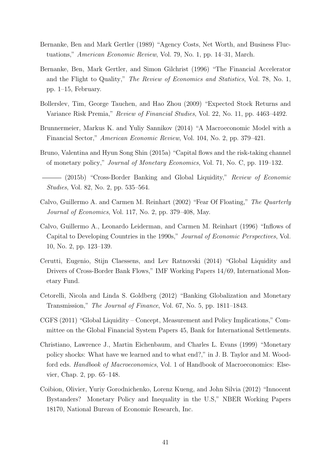- <span id="page-41-6"></span>Bernanke, Ben and Mark Gertler (1989) "Agency Costs, Net Worth, and Business Fluctuations," American Economic Review, Vol. 79, No. 1, pp. 14–31, March.
- <span id="page-41-7"></span>Bernanke, Ben, Mark Gertler, and Simon Gilchrist (1996) "The Financial Accelerator and the Flight to Quality," The Review of Economics and Statistics, Vol. 78, No. 1, pp. 1–15, February.
- <span id="page-41-10"></span>Bollerslev, Tim, George Tauchen, and Hao Zhou (2009) "Expected Stock Returns and Variance Risk Premia," Review of Financial Studies, Vol. 22, No. 11, pp. 4463–4492.
- <span id="page-41-4"></span>Brunnermeier, Markus K. and Yuliy Sannikov (2014) "A Macroeconomic Model with a Financial Sector," American Economic Review, Vol. 104, No. 2, pp. 379–421.
- <span id="page-41-0"></span>Bruno, Valentina and Hyun Song Shin (2015a) "Capital flows and the risk-taking channel of monetary policy," Journal of Monetary Economics, Vol. 71, No. C, pp. 119–132.
- <span id="page-41-5"></span>- (2015b) "Cross-Border Banking and Global Liquidity," Review of Economic Studies, Vol. 82, No. 2, pp. 535–564.
- <span id="page-41-11"></span>Calvo, Guillermo A. and Carmen M. Reinhart (2002) "Fear Of Floating," The Quarterly Journal of Economics, Vol. 117, No. 2, pp. 379–408, May.
- <span id="page-41-2"></span>Calvo, Guillermo A., Leonardo Leiderman, and Carmen M. Reinhart (1996) "Inflows of Capital to Developing Countries in the 1990s," Journal of Economic Perspectives, Vol. 10, No. 2, pp. 123–139.
- <span id="page-41-1"></span>Cerutti, Eugenio, Stijn Claessens, and Lev Ratnovski (2014) "Global Liquidity and Drivers of Cross-Border Bank Flows," IMF Working Papers 14/69, International Monetary Fund.
- <span id="page-41-3"></span>Cetorelli, Nicola and Linda S. Goldberg (2012) "Banking Globalization and Monetary Transmission," The Journal of Finance, Vol. 67, No. 5, pp. 1811–1843.
- <span id="page-41-9"></span>CGFS (2011) "Global Liquidity – Concept, Measurement and Policy Implications," Committee on the Global Financial System Papers 45, Bank for International Settlements.
- <span id="page-41-8"></span>Christiano, Lawrence J., Martin Eichenbaum, and Charles L. Evans (1999) "Monetary policy shocks: What have we learned and to what end?," in J. B. Taylor and M. Woodford eds. Handbook of Macroeconomics, Vol. 1 of Handbook of Macroeconomics: Elsevier, Chap. 2, pp. 65–148.
- <span id="page-41-12"></span>Coibion, Olivier, Yuriy Gorodnichenko, Lorenz Kueng, and John Silvia (2012) "Innocent Bystanders? Monetary Policy and Inequality in the U.S," NBER Working Papers 18170, National Bureau of Economic Research, Inc.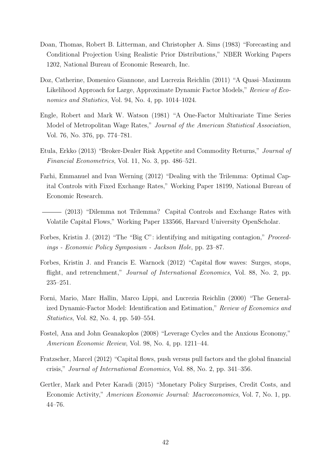- <span id="page-42-11"></span>Doan, Thomas, Robert B. Litterman, and Christopher A. Sims (1983) "Forecasting and Conditional Projection Using Realistic Prior Distributions," NBER Working Papers 1202, National Bureau of Economic Research, Inc.
- <span id="page-42-6"></span>Doz, Catherine, Domenico Giannone, and Lucrezia Reichlin (2011) "A Quasi–Maximum Likelihood Approach for Large, Approximate Dynamic Factor Models," Review of Economics and Statistics, Vol. 94, No. 4, pp. 1014–1024.
- <span id="page-42-10"></span>Engle, Robert and Mark W. Watson (1981) "A One-Factor Multivariate Time Series Model of Metropolitan Wage Rates," Journal of the American Statistical Association, Vol. 76, No. 376, pp. 774–781.
- <span id="page-42-3"></span>Etula, Erkko (2013) "Broker-Dealer Risk Appetite and Commodity Returns," Journal of Financial Econometrics, Vol. 11, No. 3, pp. 486–521.
- <span id="page-42-7"></span>Farhi, Emmanuel and Ivan Werning (2012) "Dealing with the Trilemma: Optimal Capital Controls with Fixed Exchange Rates," Working Paper 18199, National Bureau of Economic Research.
- <span id="page-42-8"></span>(2013) "Dilemma not Trilemma? Capital Controls and Exchange Rates with Volatile Capital Flows," Working Paper 133566, Harvard University OpenScholar.
- <span id="page-42-9"></span>Forbes, Kristin J. (2012) "The "Big C": identifying and mitigating contagion," *Proceed*ings - Economic Policy Symposium - Jackson Hole, pp. 23–87.
- <span id="page-42-1"></span>Forbes, Kristin J. and Francis E. Warnock (2012) "Capital flow waves: Surges, stops, flight, and retrenchment," *Journal of International Economics*, Vol. 88, No. 2, pp. 235–251.
- <span id="page-42-5"></span>Forni, Mario, Marc Hallin, Marco Lippi, and Lucrezia Reichlin (2000) "The Generalized Dynamic-Factor Model: Identification and Estimation," Review of Economics and Statistics, Vol. 82, No. 4, pp. 540–554.
- <span id="page-42-4"></span>Fostel, Ana and John Geanakoplos (2008) "Leverage Cycles and the Anxious Economy," American Economic Review, Vol. 98, No. 4, pp. 1211–44.
- <span id="page-42-0"></span>Fratzscher, Marcel (2012) "Capital flows, push versus pull factors and the global financial crisis," Journal of International Economics, Vol. 88, No. 2, pp. 341–356.
- <span id="page-42-2"></span>Gertler, Mark and Peter Karadi (2015) "Monetary Policy Surprises, Credit Costs, and Economic Activity," American Economic Journal: Macroeconomics, Vol. 7, No. 1, pp. 44–76.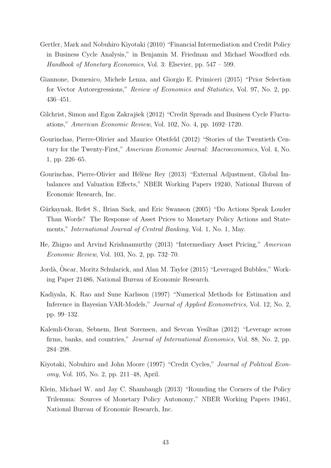- <span id="page-43-4"></span>Gertler, Mark and Nobuhiro Kiyotaki (2010) "Financial Intermediation and Credit Policy in Business Cycle Analysis," in Benjamin M. Friedman and Michael Woodford eds. Handbook of Monetary Economics, Vol. 3: Elsevier, pp. 547 – 599.
- <span id="page-43-1"></span>Giannone, Domenico, Michele Lenza, and Giorgio E. Primiceri (2015) "Prior Selection for Vector Autoregressions," Review of Economics and Statistics, Vol. 97, No. 2, pp. 436–451.
- <span id="page-43-7"></span>Gilchrist, Simon and Egon Zakrajšek (2012) "Credit Spreads and Business Cycle Fluctuations," American Economic Review, Vol. 102, No. 4, pp. 1692–1720.
- <span id="page-43-2"></span>Gourinchas, Pierre-Olivier and Maurice Obstfeld (2012) "Stories of the Twentieth Century for the Twenty-First," American Economic Journal: Macroeconomics, Vol. 4, No. 1, pp. 226–65.
- <span id="page-43-0"></span>Gourinchas, Pierre-Olivier and Hélène Rey (2013) "External Adjustment, Global Imbalances and Valuation Effects," NBER Working Papers 19240, National Bureau of Economic Research, Inc.
- <span id="page-43-8"></span>Gürkaynak, Refet S., Brian Sack, and Eric Swanson (2005) "Do Actions Speak Louder Than Words? The Response of Asset Prices to Monetary Policy Actions and Statements," International Journal of Central Banking, Vol. 1, No. 1, May.
- <span id="page-43-5"></span>He, Zhiguo and Arvind Krishnamurthy (2013) "Intermediary Asset Pricing," American Economic Review, Vol. 103, No. 2, pp. 732–70.
- <span id="page-43-3"></span>Jordà, Oscar, Moritz Schularick, and Alan M. Taylor (2015) "Leveraged Bubbles," Working Paper 21486, National Bureau of Economic Research.
- <span id="page-43-11"></span>Kadiyala, K. Rao and Sune Karlsson (1997) "Numerical Methods for Estimation and Inference in Bayesian VAR-Models," Journal of Applied Econometrics, Vol. 12, No. 2, pp. 99–132.
- <span id="page-43-10"></span>Kalemli-Ozcan, Sebnem, Bent Sorensen, and Sevcan Yesiltas (2012) "Leverage across firms, banks, and countries," Journal of International Economics, Vol. 88, No. 2, pp. 284–298.
- <span id="page-43-6"></span>Kiyotaki, Nobuhiro and John Moore (1997) "Credit Cycles," Journal of Political Economy, Vol. 105, No. 2, pp. 211–48, April.
- <span id="page-43-9"></span>Klein, Michael W. and Jay C. Shambaugh (2013) "Rounding the Corners of the Policy Trilemma: Sources of Monetary Policy Autonomy," NBER Working Papers 19461, National Bureau of Economic Research, Inc.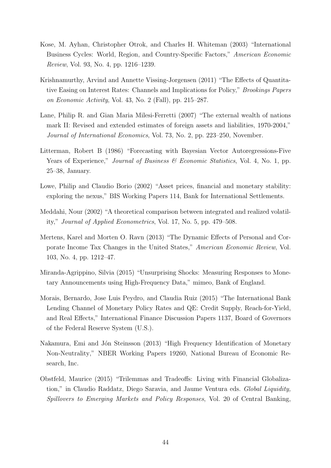- <span id="page-44-4"></span>Kose, M. Ayhan, Christopher Otrok, and Charles H. Whiteman (2003) "International Business Cycles: World, Region, and Country-Specific Factors," American Economic Review, Vol. 93, No. 4, pp. 1216–1239.
- <span id="page-44-7"></span>Krishnamurthy, Arvind and Annette Vissing-Jorgensen (2011) "The Effects of Quantitative Easing on Interest Rates: Channels and Implications for Policy," Brookings Papers on Economic Activity, Vol. 43, No. 2 (Fall), pp. 215–287.
- <span id="page-44-0"></span>Lane, Philip R. and Gian Maria Milesi-Ferretti (2007) "The external wealth of nations mark II: Revised and extended estimates of foreign assets and liabilities, 1970-2004," Journal of International Economics, Vol. 73, No. 2, pp. 223–250, November.
- <span id="page-44-10"></span>Litterman, Robert B (1986) "Forecasting with Bayesian Vector Autoregressions-Five Years of Experience," *Journal of Business & Economic Statistics*, Vol. 4, No. 1, pp. 25–38, January.
- <span id="page-44-1"></span>Lowe, Philip and Claudio Borio (2002) "Asset prices, financial and monetary stability: exploring the nexus," BIS Working Papers 114, Bank for International Settlements.
- <span id="page-44-5"></span>Meddahi, Nour (2002) "A theoretical comparison between integrated and realized volatility," Journal of Applied Econometrics, Vol. 17, No. 5, pp. 479–508.
- <span id="page-44-3"></span>Mertens, Karel and Morten O. Ravn (2013) "The Dynamic Effects of Personal and Corporate Income Tax Changes in the United States," American Economic Review, Vol. 103, No. 4, pp. 1212–47.
- <span id="page-44-8"></span>Miranda-Agrippino, Silvia (2015) "Unsurprising Shocks: Measuring Responses to Monetary Announcements using High-Frequency Data," mimeo, Bank of England.
- <span id="page-44-2"></span>Morais, Bernardo, Jose Luis Peydro, and Claudia Ruiz (2015) "The International Bank Lending Channel of Monetary Policy Rates and QE: Credit Supply, Reach-for-Yield, and Real Effects," International Finance Discussion Papers 1137, Board of Governors of the Federal Reserve System (U.S.).
- <span id="page-44-6"></span>Nakamura, Emi and Jón Steinsson (2013) "High Frequency Identification of Monetary Non-Neutrality," NBER Working Papers 19260, National Bureau of Economic Research, Inc.
- <span id="page-44-9"></span>Obstfeld, Maurice (2015) "Trilemmas and Tradeoffs: Living with Financial Globalization," in Claudio Raddatz, Diego Saravia, and Jaume Ventura eds. Global Liquidity, Spillovers to Emerging Markets and Policy Responses, Vol. 20 of Central Banking,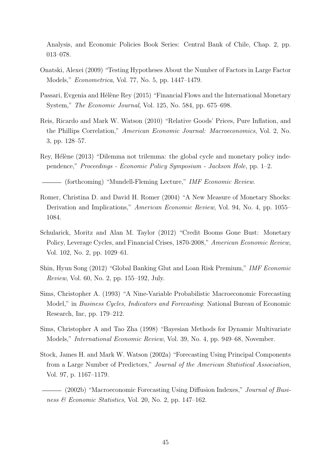Analysis, and Economic Policies Book Series: Central Bank of Chile, Chap. 2, pp. 013–078.

- <span id="page-45-7"></span>Onatski, Alexei (2009) "Testing Hypotheses About the Number of Factors in Large Factor Models," Econometrica, Vol. 77, No. 5, pp. 1447–1479.
- <span id="page-45-2"></span>Passari, Evgenia and Hélène Rey (2015) "Financial Flows and the International Monetary System," The Economic Journal, Vol. 125, No. 584, pp. 675–698.
- <span id="page-45-9"></span>Reis, Ricardo and Mark W. Watson (2010) "Relative Goods' Prices, Pure Inflation, and the Phillips Correlation," American Economic Journal: Macroeconomics, Vol. 2, No. 3, pp. 128–57.
- <span id="page-45-0"></span>Rey, Hélène (2013) "Dilemma not trilemma: the global cycle and monetary policy independence," Proceedings - Economic Policy Symposium - Jackson Hole, pp. 1–2.
- <span id="page-45-8"></span>(forthcoming) "Mundell-Fleming Lecture," IMF Economic Review.
- <span id="page-45-6"></span>Romer, Christina D. and David H. Romer (2004) "A New Measure of Monetary Shocks: Derivation and Implications," American Economic Review, Vol. 94, No. 4, pp. 1055– 1084.
- <span id="page-45-1"></span>Schularick, Moritz and Alan M. Taylor (2012) "Credit Booms Gone Bust: Monetary Policy, Leverage Cycles, and Financial Crises, 1870-2008," American Economic Review, Vol. 102, No. 2, pp. 1029–61.
- <span id="page-45-3"></span>Shin, Hyun Song (2012) "Global Banking Glut and Loan Risk Premium," IMF Economic Review, Vol. 60, No. 2, pp. 155–192, July.
- <span id="page-45-11"></span>Sims, Christopher A. (1993) "A Nine-Variable Probabilistic Macroeconomic Forecasting Model," in Business Cycles, Indicators and Forecasting: National Bureau of Economic Research, Inc, pp. 179–212.
- <span id="page-45-10"></span>Sims, Christopher A and Tao Zha (1998) "Bayesian Methods for Dynamic Multivariate Models," International Economic Review, Vol. 39, No. 4, pp. 949–68, November.
- <span id="page-45-4"></span>Stock, James H. and Mark W. Watson (2002a) "Forecasting Using Principal Components from a Large Number of Predictors," Journal of the American Statistical Association, Vol. 97, p. 1167–1179.
- <span id="page-45-5"></span>- (2002b) "Macroeconomic Forecasting Using Diffusion Indexes," *Journal of Busi*ness & Economic Statistics, Vol. 20, No. 2, pp. 147–162.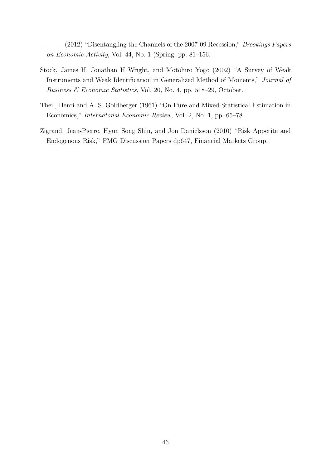<span id="page-46-1"></span>(2012) "Disentangling the Channels of the 2007-09 Recession," *Brookings Papers* on Economic Activity, Vol. 44, No. 1 (Spring, pp. 81–156.

- <span id="page-46-2"></span>Stock, James H, Jonathan H Wright, and Motohiro Yogo (2002) "A Survey of Weak Instruments and Weak Identification in Generalized Method of Moments," Journal of Business & Economic Statistics, Vol. 20, No. 4, pp. 518–29, October.
- <span id="page-46-3"></span>Theil, Henri and A. S. Goldberger (1961) "On Pure and Mixed Statistical Estimation in Economics," Internatonal Economic Review, Vol. 2, No. 1, pp. 65–78.
- <span id="page-46-0"></span>Zigrand, Jean-Pierre, Hyun Song Shin, and Jon Danielsson (2010) "Risk Appetite and Endogenous Risk," FMG Discussion Papers dp647, Financial Markets Group.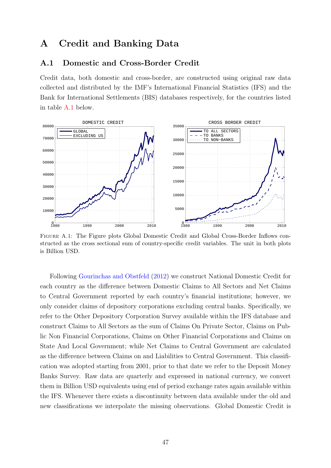# <span id="page-47-0"></span>A Credit and Banking Data

## A.1 Domestic and Cross-Border Credit

Credit data, both domestic and cross-border, are constructed using original raw data collected and distributed by the IMF's International Financial Statistics (IFS) and the Bank for International Settlements (BIS) databases respectively, for the countries listed in table [A.1](#page-48-0) below.

<span id="page-47-1"></span>

Figure A.1: The Figure plots Global Domestic Credit and Global Cross-Border Inflows constructed as the cross sectional sum of country-specific credit variables. The unit in both plots is Billion USD.

Following [Gourinchas and Obstfeld](#page-43-2) [\(2012\)](#page-43-2) we construct National Domestic Credit for each country as the difference between Domestic Claims to All Sectors and Net Claims to Central Government reported by each country's financial institutions; however, we only consider claims of depository corporations excluding central banks. Specifically, we refer to the Other Depository Corporation Survey available within the IFS database and construct Claims to All Sectors as the sum of Claims On Private Sector, Claims on Public Non Financial Corporations, Claims on Other Financial Corporations and Claims on State And Local Government; while Net Claims to Central Government are calculated as the difference between Claims on and Liabilities to Central Government. This classification was adopted starting from 2001, prior to that date we refer to the Deposit Money Banks Survey. Raw data are quarterly and expressed in national currency, we convert them in Billion USD equivalents using end of period exchange rates again available within the IFS. Whenever there exists a discontinuity between data available under the old and new classifications we interpolate the missing observations. Global Domestic Credit is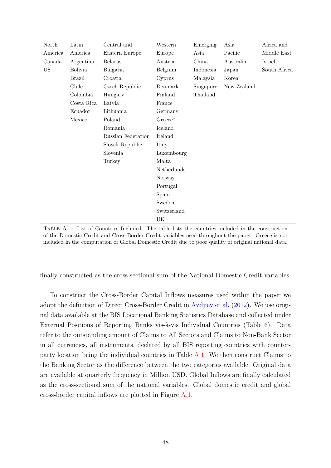<span id="page-48-0"></span>

| North     | Latin          | Central and        | Western     | Emerging  | Asia        | Africa and   |
|-----------|----------------|--------------------|-------------|-----------|-------------|--------------|
| America   | America        | Eastern Europe     | Europe      | Asia      | Pacific     | Middle East  |
| Canada    | Argentina      | <b>Belarus</b>     | Austria     | China     | Australia   | Israel       |
| <b>US</b> | <b>Bolivia</b> | Bulgaria           | Belgium     | Indonesia | Japan       | South Africa |
|           | <b>Brazil</b>  | Croatia            | Cyprus      | Malaysia  | Korea       |              |
|           | Chile          | Czech Republic     | Denmark     | Singapore | New Zealand |              |
|           | Colombia       | Hungary            | Finland     | Thailand  |             |              |
|           | Costa Rica     | Latvia             | France      |           |             |              |
|           | Ecuador        | Lithuania          | Germany     |           |             |              |
|           | Mexico         | Poland             | $Greeze^*$  |           |             |              |
|           |                | Romania            | Iceland     |           |             |              |
|           |                | Russian Federation | Ireland     |           |             |              |
|           |                | Slovak Republic    | Italy       |           |             |              |
|           |                | Slovenia           | Luxembourg  |           |             |              |
|           |                | Turkey             | Malta       |           |             |              |
|           |                |                    | Netherlands |           |             |              |
|           |                |                    | Norway      |           |             |              |
|           |                |                    | Portugal    |           |             |              |
|           |                |                    | Spain       |           |             |              |
|           |                |                    | Sweden      |           |             |              |
|           |                |                    | Switzerland |           |             |              |
|           |                |                    | UK          |           |             |              |

Table A.1: List of Countries Included. The table lists the countries included in the construction of the Domestic Credit and Cross-Border Credit variables used throughout the paper. Greece is not included in the computation of Global Domestic Credit due to poor quality of original national data.

finally constructed as the cross-sectional sum of the National Domestic Credit variables.

To construct the Cross-Border Capital Inflows measures used within the paper we adopt the definition of Direct Cross-Border Credit in [Avdjiev et al.](#page-40-12) [\(2012\)](#page-40-12). We use original data available at the BIS Locational Banking Statistics Database and collected under External Positions of Reporting Banks vis-à-vis Individual Countries (Table 6). Data refer to the outstanding amount of Claims to All Sectors and Claims to Non-Bank Sector in all currencies, all instruments, declared by all BIS reporting countries with counterparty location being the individual countries in Table [A.1.](#page-48-0) We then construct Claims to the Banking Sector as the difference between the two categories available. Original data are available at quarterly frequency in Million USD. Global Inflows are finally calculated as the cross-sectional sum of the national variables. Global domestic credit and global cross-border capital inflows are plotted in Figure [A.1.](#page-47-1)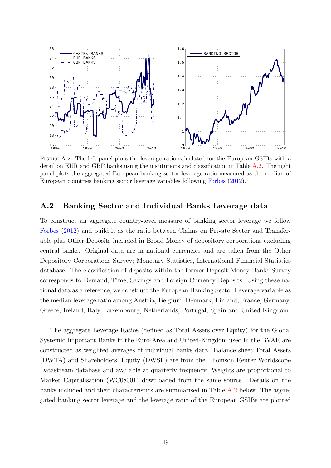<span id="page-49-0"></span>

Figure A.2: The left panel plots the leverage ratio calculated for the European GSIBs with a detail on EUR and GBP banks using the institutions and classification in Table [A.2.](#page-50-0) The right panel plots the aggregated European banking sector leverage ratio measured as the median of European countries banking sector leverage variables following [Forbes](#page-42-9) [\(2012\)](#page-42-9).

## A.2 Banking Sector and Individual Banks Leverage data

To construct an aggregate country-level measure of banking sector leverage we follow [Forbes](#page-42-9) [\(2012\)](#page-42-9) and build it as the ratio between Claims on Private Sector and Transferable plus Other Deposits included in Broad Money of depository corporations excluding central banks. Original data are in national currencies and are taken from the Other Depository Corporations Survey; Monetary Statistics, International Financial Statistics database. The classification of deposits within the former Deposit Money Banks Survey corresponds to Demand, Time, Savings and Foreign Currency Deposits. Using these national data as a reference, we construct the European Banking Sector Leverage variable as the median leverage ratio among Austria, Belgium, Denmark, Finland, France, Germany, Greece, Ireland, Italy, Luxembourg, Netherlands, Portugal, Spain and United Kingdom.

The aggregate Leverage Ratios (defined as Total Assets over Equity) for the Global Systemic Important Banks in the Euro-Area and United-Kingdom used in the BVAR are constructed as weighted averages of individual banks data. Balance sheet Total Assets (DWTA) and Shareholders' Equity (DWSE) are from the Thomson Reuter Worldscope Datastream database and available at quarterly frequency. Weights are proportional to Market Capitalisation (WC08001) downloaded from the same source. Details on the banks included and their characteristics are summarised in Table [A.2](#page-50-0) below. The aggregated banking sector leverage and the leverage ratio of the European GSIBs are plotted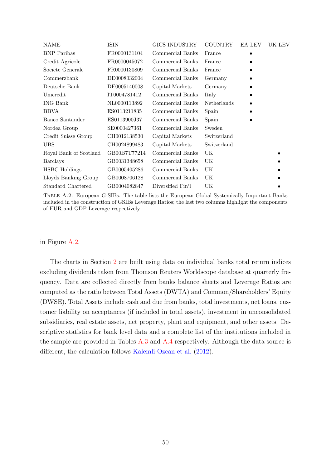<span id="page-50-0"></span>

| NAME                   | ISIN         | GICS INDUSTRY     | <b>COUNTRY</b> | EA LEV    | UK LEV |
|------------------------|--------------|-------------------|----------------|-----------|--------|
| <b>BNP</b> Paribas     | FR0000131104 | Commercial Banks  | France         | $\bullet$ |        |
| Credit Agricole        | FR0000045072 | Commercial Banks  | France         |           |        |
| Societe Generale       | FR0000130809 | Commercial Banks  | France         |           |        |
| Commerzbank            | DE0008032004 | Commercial Banks  | Germany        |           |        |
| Deutsche Bank          | DE0005140008 | Capital Markets   | Germany        |           |        |
| Unicredit              | IT0004781412 | Commercial Banks  | Italy          |           |        |
| ING Bank               | NL0000113892 | Commercial Banks  | Netherlands    |           |        |
| <b>BBVA</b>            | ES0113211835 | Commercial Banks  | Spain          |           |        |
| Banco Santander        | ES0113900J37 | Commercial Banks  | Spain          |           |        |
| Nordea Group           | SE0000427361 | Commercial Banks  | Sweden         |           |        |
| Credit Suisse Group    | CH0012138530 | Capital Markets   | Switzerland    |           |        |
| UBS                    | CH0024899483 | Capital Markets   | Switzerland    |           |        |
| Royal Bank of Scotland | GB00B7T77214 | Commercial Banks  | UK             |           |        |
| Barclays               | GB0031348658 | Commercial Banks  | UK             |           |        |
| <b>HSBC</b> Holdings   | GB0005405286 | Commercial Banks  | UK             |           |        |
| Lloyds Banking Group   | GB0008706128 | Commercial Banks  | UK             |           |        |
| Standard Chartered     | GB0004082847 | Diversified Fin'l | UK             |           |        |

Table A.2: European G-SIBs. The table lists the European Global Systemically Important Banks included in the construction of GSIBs Leverage Ratios; the last two columns highlight the components of EUR and GDP Leverage respectively.

in Figure [A.2.](#page-49-0)

The charts in Section [2](#page-11-0) are built using data on individual banks total return indices excluding dividends taken from Thomson Reuters Worldscope database at quarterly frequency. Data are collected directly from banks balance sheets and Leverage Ratios are computed as the ratio between Total Assets (DWTA) and Common/Shareholders' Equity (DWSE). Total Assets include cash and due from banks, total investments, net loans, customer liability on acceptances (if included in total assets), investment in unconsolidated subsidiaries, real estate assets, net property, plant and equipment, and other assets. Descriptive statistics for bank level data and a complete list of the institutions included in the sample are provided in Tables [A.3](#page-51-1) and [A.4](#page-51-0) respectively. Although the data source is different, the calculation follows [Kalemli-Ozcan et al.](#page-43-10) [\(2012\)](#page-43-10).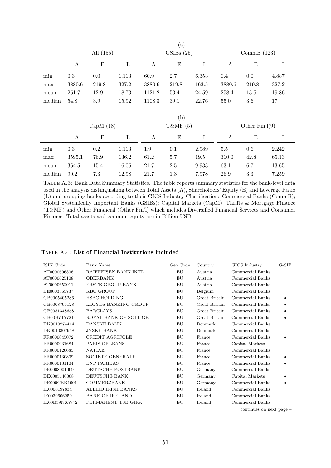<span id="page-51-1"></span>

|        |                  |             |              |        | (a)         |       |              |                  |       |
|--------|------------------|-------------|--------------|--------|-------------|-------|--------------|------------------|-------|
|        |                  | All $(155)$ |              |        | GSIBs(25)   |       |              | CommB $(123)$    |       |
|        | $\boldsymbol{A}$ | Ε           | $\mathbf{L}$ | A      | $\mathbf E$ | L     | A            | E                | L     |
| min    | 0.3              | 0.0         | 1.113        | 60.9   | 2.7         | 6.353 | 0.4          | 0.0              | 4.887 |
| max    | 3880.6           | 219.8       | 327.2        | 3880.6 | 219.8       | 163.5 | 3880.6       | 219.8            | 327.2 |
| mean   | 251.7            | 12.9        | 18.73        | 1121.2 | 53.4        | 24.59 | 258.4        | 13.5             | 19.86 |
| median | 54.8             | $3.9\,$     | 15.92        | 1108.3 | 39.1        | 22.76 | 55.0         | 3.6              | 17    |
|        |                  |             |              |        |             |       |              |                  |       |
|        |                  |             |              |        | (b)         |       |              |                  |       |
|        |                  | Cap $M(18)$ |              |        | T&MF $(5)$  |       |              | Other $Fin'1(9)$ |       |
|        | $\boldsymbol{A}$ | E           | $\mathbf L$  | A      | Ε           | L     | $\mathbf{A}$ | $\mathbf E$      | L     |
| min    | 0.3              | $0.2\,$     | 1.113        | 1.9    | 0.1         | 2.989 | $5.5\,$      | $0.6\,$          | 2.242 |
| max    | 3595.1           | 76.9        | 136.2        | 61.2   | 5.7         | 19.5  | 310.0        | 42.8             | 65.13 |
| mean   | 364.5            | 15.4        | 16.06        | 21.7   | 2.5         | 9.933 | 63.1         | 6.7              | 13.65 |
| median | 90.2             | 7.3         | 12.98        | 21.7   | 1.3         | 7.978 | 26.9         | 3.3              | 7.259 |

Table A.3: Bank Data Summary Statistics. The table reports summary statistics for the bank-level data used in the analysis distinguishing between Total Assets (A), Shareholders' Equity (E) and Leverage Ratio (L) and grouping banks according to their GICS Industry Classification: Commercial Banks (CommB); Global Systemically Important Banks (GSIBs); Capital Markets (CapM); Thrifts & Mortgage Finance (T&MF) and Other Financial (Other Fin'l) which includes Diversified Financial Services and Consumer Finance. Total assets and common equity are in Billion USD.

<span id="page-51-0"></span>

| TABLE A.4: List of Financial Institutions included |  |  |
|----------------------------------------------------|--|--|
|----------------------------------------------------|--|--|

| ISIN Code    | <b>Bank Name</b>          | Geo Code | Country       | GICS Industry    | $G-SIB$ |
|--------------|---------------------------|----------|---------------|------------------|---------|
| AT0000606306 | RAIFFEISEN BANK INTL.     | EU       | Austria       | Commercial Banks |         |
| AT0000625108 | <b>OBERBANK</b>           | EU       | Austria.      | Commercial Banks |         |
| AT0000652011 | <b>ERSTE GROUP BANK</b>   | EU       | Austria       | Commercial Banks |         |
| BE0003565737 | <b>KBC GROUP</b>          | EU       | Belgium       | Commercial Banks |         |
| GB0005405286 | HSBC HOLDING              | EU       | Great Britain | Commercial Banks |         |
| GB0008706128 | LLOYDS BANKING GROUP      | EU       | Great Britain | Commercial Banks |         |
| GB0031348658 | <b>BARCLAYS</b>           | EU       | Great Britain | Commercial Banks |         |
| GB00B7T77214 | ROYAL BANK OF SCTLGP.     | EU       | Great Britain | Commercial Banks |         |
| DK0010274414 | <b>DANSKE BANK</b>        | EU       | Denmark       | Commercial Banks |         |
| DK0010307958 | <b>JYSKE BANK</b>         | EU       | Denmark       | Commercial Banks |         |
| FR0000045072 | CREDIT AGRICOLE           | EU       | France        | Commercial Banks |         |
| FR0000031684 | PARIS ORLEANS             | EU       | France        | Capital Markets  |         |
| FR0000120685 | <b>NATIXIS</b>            | EU       | France        | Commercial Banks |         |
| FR0000130809 | <b>SOCIETE GENERALE</b>   | EU       | France        | Commercial Banks |         |
| FR0000131104 | <b>BNP PARIBAS</b>        | EU       | France        | Commercial Banks |         |
| DE0008001009 | DEUTSCHE POSTBANK         | EU       | Germany       | Commercial Banks |         |
| DE0005140008 | <b>DEUTSCHE BANK</b>      | EU       | Germany       | Capital Markets  |         |
| DE000CBK1001 | COMMERZBANK               | EU       | Germany       | Commercial Banks |         |
| IE0000197834 | <b>ALLIED IRISH BANKS</b> | EU       | Ireland       | Commercial Banks |         |
| IE0030606259 | <b>BANK OF IRELAND</b>    | EU       | Ireland       | Commercial Banks |         |
| IE00B59NXW72 | PERMANENT TSB GHG.        | EU       | Ireland       | Commercial Banks |         |

continues on next page –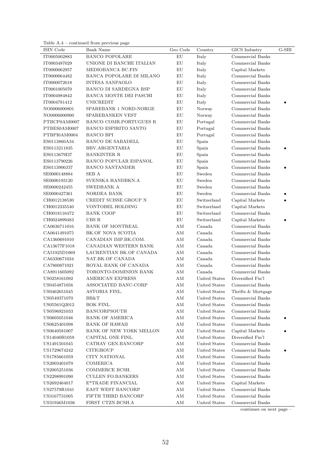Table A.4 – continued from previous page

| ISIN Code    | <b>Bank Name</b>             | Geo Code      | Country       | GICS Industry      | $G-SIB$   |
|--------------|------------------------------|---------------|---------------|--------------------|-----------|
| IT0005002883 | <b>BANCO POPOLARE</b>        | EU            | Italy         | Commercial Banks   |           |
| IT0003487029 | UNIONE DI BANCHE ITALIAN     | EU            | Italy         | Commercial Banks   |           |
| IT0000062957 | MEDIOBANCA BC.FIN            | EU            | Italy         | Capital Markets    |           |
| IT0000064482 | BANCA POPOLARE DI MILANO     | EU            | Italy         | Commercial Banks   |           |
| IT0000072618 | <b>INTESA SANPAOLO</b>       | EU            | Italy         | Commercial Banks   |           |
| IT0001005070 | BANCO DI SARDEGNA RSP        | EU            | Italy         | Commercial Banks   |           |
| IT0004984842 | BANCA MONTE DEI PASCHI       | EU            | Italy         | Commercial Banks   |           |
| IT0004781412 | <b>UNICREDIT</b>             | ${\rm EU}$    | Italy         | Commercial Banks   |           |
| NO0006000801 | SPAREBANK 1 NORD-NORGE       | ${\rm EU}$    | Norway        | Commercial Banks   |           |
| NO0006000900 | SPAREBANKEN VEST             | EU            | Norway        | Commercial Banks   |           |
| PTBCP0AM0007 | BANCO COMR.PORTUGUES R       | EU            | Portugal      | Commercial Banks   |           |
| PTBES0AM0007 | <b>BANCO ESPIRITO SANTO</b>  | EU            | Portugal      | Commercial Banks   |           |
| PTBPI0AM0004 | <b>BANCO BPI</b>             | EU            | Portugal      | Commercial Banks   |           |
| ES0113860A34 | <b>BANCO DE SABADELL</b>     | ${\rm EU}$    | Spain         | Commercial Banks   |           |
| ES0113211835 | BBV.ARGENTARIA               | ${\rm EU}$    | Spain         | Commercial Banks   | $\bullet$ |
| ES0113679I37 | <b>BANKINTER R</b>           | EU            | Spain         | Commercial Banks   |           |
| ES0113790226 | <b>BANCO POPULAR ESPANOL</b> | EU            | Spain         | Commercial Banks   |           |
| ES0113900J37 | <b>BANCO SANTANDER</b>       | EU            | Spain         | Commercial Banks   |           |
| SE0000148884 | SEB A                        | EU            | Sweden        | Commercial Banks   |           |
| SE0000193120 | SVENSKA HANDBKN.A            | EU            | Sweden        | Commercial Banks   |           |
| SE0000242455 | SWEDBANK A                   | EU            | Sweden        | Commercial Banks   |           |
| SE0000427361 | NORDEA BANK                  | EU            | Sweden        | Commercial Banks   |           |
| CH0012138530 | CREDIT SUISSE GROUP N        | EU            | Switzerland   | Capital Markets    |           |
| CH0012335540 | VONTOBEL HOLDING             | EU            | Switzerland   | Capital Markets    |           |
| CH0018116472 | <b>BANK COOP</b>             | EU            | Switzerland   | Commercial Banks   |           |
| CH0024899483 | UBS R                        | EU            | Switzerland   | Capital Markets    |           |
| CA0636711016 | <b>BANK OF MONTREAL</b>      | $\mathrm{AM}$ | Canada        | Commercial Banks   |           |
| CA0641491075 | BK.OF NOVA SCOTIA            | AМ            | Canada        | Commercial Banks   |           |
| CA1360691010 | CANADIAN IMP.BK.COM.         | AМ            | Canada        | Commercial Banks   |           |
| CA13677F1018 | CANADIAN WESTERN BANK        | AМ            | Canada        | Commercial Banks   |           |
| CA51925D1069 | LAURENTIAN BK.OF CANADA      | AМ            | Canada        | Commercial Banks   |           |
| CA6330671034 | NAT.BK.OF CANADA             | AМ            | Canada        | Commercial Banks   |           |
|              | ROYAL BANK OF CANADA         | AM            | Canada        | Commercial Banks   |           |
| CA7800871021 | TORONTO-DOMINION BANK        | AМ            | Canada        | Commercial Banks   |           |
| CA8911605092 | <b>AMERICAN EXPRESS</b>      | AМ            | United States | Diversified Fin'l  |           |
| US0258161092 |                              |               |               |                    |           |
| US0454871056 | ASSOCIATED BANC-CORP         | AМ            | United States | Commercial Banks   |           |
| US0462651045 | ASTORIA FINL.                | ΑM            | United States | Thrifts & Mortgage |           |
| US0549371070 | BB&T                         | AМ            | United States | Commercial Banks   |           |
| US05561Q2012 | BOK FINL.                    | AМ            | United States | Commercial Banks   |           |
| US0596921033 | BANCORPSOUTH                 | AМ            | United States | Commercial Banks   |           |
| US0605051046 | <b>BANK OF AMERICA</b>       | AΜ            | United States | Commercial Banks   |           |
| US0625401098 | <b>BANK OF HAWAII</b>        | AΜ            | United States | Commercial Banks   |           |
| US0640581007 | BANK OF NEW YORK MELLON      | AМ            | United States | Capital Markets    |           |
| US14040H1059 | CAPITAL ONE FINL.            | AМ            | United States | Diversified Fin'l  |           |
| US1491501045 | CATHAY GEN.BANCORP           | AМ            | United States | Commercial Banks   |           |
| US1729674242 | <b>CITIGROUP</b>             | AМ            | United States | Commercial Banks   |           |
| US1785661059 | CITY NATIONAL                | AМ            | United States | Commercial Banks   |           |
| US2003401070 | <b>COMERICA</b>              | AМ            | United States | Commercial Banks   |           |
| US2005251036 | COMMERCE BCSH.               | AМ            | United States | Commercial Banks   |           |
| US2298991090 | <b>CULLEN FO.BANKERS</b>     | AМ            | United States | Commercial Banks   |           |
| US2692464017 | E*TRADE FINANCIAL            | AМ            | United States | Capital Markets    |           |
| US27579R1041 | EAST WEST BANCORP            | AМ            | United States | Commercial Banks   |           |
| US3167731005 | FIFTH THIRD BANCORP          | AM            | United States | Commercial Banks   |           |
| US31946M1036 | FIRST CTZN.BCSH.A            | AM            | United States | Commercial Banks   |           |

continues on next page –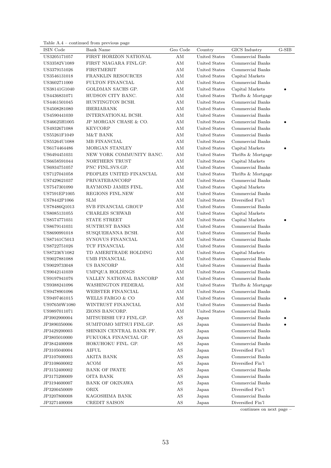| Table $A.4$ – continued from previous page |
|--------------------------------------------|
|                                            |

| ISIN Code    | Bank Name                | Geo Code               | Country       | GICS Industry      | $G-SIB$ |
|--------------|--------------------------|------------------------|---------------|--------------------|---------|
| US3205171057 | FIRST HORIZON NATIONAL   | AM                     | United States | Commercial Banks   |         |
| US33582V1089 | FIRST NIAGARA FINL.GP.   | ΑM                     | United States | Commercial Banks   |         |
| US3379151026 | <b>FIRSTMERIT</b>        | ΑM                     | United States | Commercial Banks   |         |
| US3546131018 | FRANKLIN RESOURCES       | $\mathrm{AM}$          | United States | Capital Markets    |         |
| US3602711000 | FULTON FINANCIAL         | ΑM                     | United States | Commercial Banks   |         |
| US38141G1040 | GOLDMAN SACHS GP.        | AM                     | United States | Capital Markets    |         |
| US4436831071 | HUDSON CITY BANC.        | $\mathrm{AM}$          | United States | Thrifts & Mortgage |         |
| US4461501045 | HUNTINGTON BCSH.         | $\mathrm{AM}$          | United States | Commercial Banks   |         |
| US4508281080 | <b>IBERIABANK</b>        | $\mathrm{AM}$          | United States | Commercial Banks   |         |
| US4590441030 | INTERNATIONAL BCSH.      | AM                     | United States | Commercial Banks   |         |
| US46625H1005 | JP MORGAN CHASE & CO.    | AM                     | United States | Commercial Banks   |         |
| US4932671088 | <b>KEYCORP</b>           | AM                     | United States | Commercial Banks   |         |
| US55261F1049 | M&T BANK                 | AM                     | United States | Commercial Banks   |         |
| US55264U1088 | <b>MB FINANCIAL</b>      | AM                     | United States | Commercial Banks   |         |
| US6174464486 | MORGAN STANLEY           | AM                     | United States | Capital Markets    |         |
| US6494451031 | NEW YORK COMMUNITY BANC. | AM                     | United States | Thrifts & Mortgage |         |
| US6658591044 | NORTHERN TRUST           | ΑM                     | United States | Capital Markets    |         |
| US6934751057 | PNC FINL.SVS.GP.         | AM                     | United States | Commercial Banks   |         |
| US7127041058 | PEOPLES UNITED FINANCIAL | AM                     | United States | Thrifts & Mortgage |         |
| US7429621037 | PRIVATEBANCORP           | ΑM                     | United States | Commercial Banks   |         |
| US7547301090 | RAYMOND JAMES FINL.      | AM                     | United States | Capital Markets    |         |
| US7591EP1005 | REGIONS FINL.NEW         | AM                     | United States | Commercial Banks   |         |
| US78442P1066 | <b>SLM</b>               | AM                     | United States | Diversified Fin'l  |         |
| US78486Q1013 | SVB FINANCIAL GROUP      | AM                     | United States | Commercial Banks   |         |
| US8085131055 | CHARLES SCHWAB           | AM                     | United States | Capital Markets    |         |
| US8574771031 | STATE STREET             | AM                     | United States | Capital Markets    |         |
| US8679141031 | SUNTRUST BANKS           | $\mathrm{AM}$          | United States | Commercial Banks   |         |
| US8690991018 | SUSQUEHANNA BCSH.        | ΑM                     | United States | Commercial Banks   |         |
| US87161C5013 | SYNOVUS FINANCIAL        | AМ                     | United States | Commercial Banks   |         |
| US8722751026 | TCF FINANCIAL            | ΑM                     | United States | Commercial Banks   |         |
| US87236Y1082 | TD AMERITRADE HOLDING    | AM                     | United States | Capital Markets    |         |
| US9027881088 | UMB FINANCIAL            | AM                     | United States | Commercial Banks   |         |
| US9029733048 | US BANCORP               | AM                     | United States | Commercial Banks   |         |
| US9042141039 | UMPQUA HOLDINGS          | $\mathrm{AM}$          | United States | Commercial Banks   |         |
| US9197941076 | VALLEY NATIONAL BANCORP  | AM                     | United States | Commercial Banks   |         |
| US9388241096 | WASHINGTON FEDERAL       | ΑM                     | United States | Thrifts & Mortgage |         |
| US9478901096 | WEBSTER FINANCIAL        | AМ                     | United States | Commercial Banks   |         |
| US9497461015 | WELLS FARGO & CO         | AM                     | United States | Commercial Banks   |         |
| US97650W1080 | WINTRUST FINANCIAL       | AM                     | United States | Commercial Banks   |         |
| US9897011071 | ZIONS BANCORP.           | AM                     | United States | Commercial Banks   |         |
| JP3902900004 | MITSUBISHI UFJ FINL.GP.  | $\mathbf{A}\mathbf{S}$ | Japan         | Commercial Banks   |         |
| JP3890350006 | SUMITOMO MITSUI FINL.GP. | $\mathbf{A}\mathbf{S}$ | Japan         | Commercial Banks   |         |
| JP3429200003 | SHINKIN CENTRAL BANK PF. | AS                     | Japan         | Commercial Banks   |         |
| JP3805010000 | FUKUOKA FINANCIAL GP.    | $\mathbf{A}\mathbf{S}$ | Japan         | Commercial Banks   |         |
| JP3842400008 | HOKUHOKU FINL. GP.       | AS                     | Japan         | Commercial Banks   |         |
| JP3105040004 | <b>AIFUL</b>             | $\mathbf{A}\mathbf{S}$ | Japan         | Diversified Fin'l  |         |
| JP3107600003 | AKITA BANK               | $\mathbf{A}\mathbf{S}$ | Japan         | Commercial Banks   |         |
| JP3108600002 | <b>ACOM</b>              | $\mathbf{A}\mathbf{S}$ | Japan         | Diversified Fin'l  |         |
| JP3152400002 | <b>BANK OF IWATE</b>     | $\mathbf{A}\mathbf{S}$ | Japan         | Commercial Banks   |         |
| JP3175200009 | <b>OITA BANK</b>         | $\mathbf{A}\mathbf{S}$ | Japan         | Commercial Banks   |         |
| JP3194600007 | <b>BANK OF OKINAWA</b>   | $\mathbf{A}\mathbf{S}$ | Japan         | Commercial Banks   |         |
| JP3200450009 | ORIX                     | $\mathbf{A}\mathbf{S}$ | Japan         | Diversified Fin'l  |         |
| JP3207800008 | KAGOSHIMA BANK           | $\mathbf{A}\mathbf{S}$ | Japan         | Commercial Banks   |         |
| JP3271400008 | CREDIT SAISON            | AS                     | Japan         | Diversified Fin'l  |         |

continues on next page –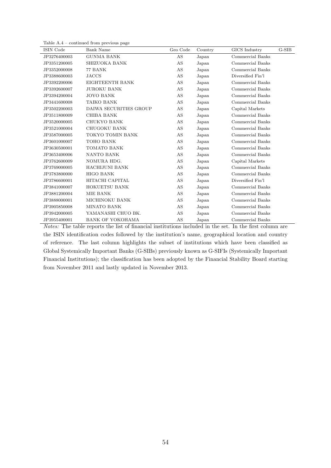| Table $A.4$ – continued from previous page |  |  |  |
|--------------------------------------------|--|--|--|
|--------------------------------------------|--|--|--|

| ISIN Code    | <b>Bank Name</b>        | Geo Code | Country | GICS Industry     | $G-SIB$ |
|--------------|-------------------------|----------|---------|-------------------|---------|
| JP3276400003 | <b>GUNMA BANK</b>       | AS       | Japan   | Commercial Banks  |         |
| JP3351200005 | SHIZUOKA BANK           | AS       | Japan   | Commercial Banks  |         |
| JP3352000008 | 77 BANK                 | AS       | Japan   | Commercial Banks  |         |
| JP3388600003 | <b>JACCS</b>            | AS       | Japan   | Diversified Fin'l |         |
| JP3392200006 | EIGHTEENTH BANK         | AS       | Japan   | Commercial Banks  |         |
| JP3392600007 | <b>JUROKU BANK</b>      | AS       | Japan   | Commercial Banks  |         |
| JP3394200004 | <b>JOYO BANK</b>        | AS       | Japan   | Commercial Banks  |         |
| JP3441600008 | TAIKO BANK              | AS       | Japan   | Commercial Banks  |         |
| JP3502200003 | DAIWA SECURITIES GROUP  | AS       | Japan   | Capital Markets   |         |
| JP3511800009 | CHIBA BANK              | AS       | Japan   | Commercial Banks  |         |
| JP3520000005 | CHUKYO BANK             | AS       | Japan   | Commercial Banks  |         |
| JP3521000004 | CHUGOKU BANK            | AS       | Japan   | Commercial Banks  |         |
| JP3587000005 | TOKYO TOMIN BANK        | AS       | Japan   | Commercial Banks  |         |
| JP3601000007 | TOHO BANK               | AS       | Japan   | Commercial Banks  |         |
| JP3630500001 | TOMATO BANK             | AS       | Japan   | Commercial Banks  |         |
| JP3653400006 | NANTO BANK              | AS       | Japan   | Commercial Banks  |         |
| JP3762600009 | NOMURA HDG.             | AS       | Japan   | Capital Markets   |         |
| JP3769000005 | <b>HACHIJUNI BANK</b>   | AS       | Japan   | Commercial Banks  |         |
| JP3783800000 | <b>HIGO BANK</b>        | AS       | Japan   | Commercial Banks  |         |
| JP3786600001 | HITACHI CAPITAL         | AS       | Japan   | Diversified Fin'l |         |
| JP3841000007 | <b>HOKUETSU BANK</b>    | AS       | Japan   | Commercial Banks  |         |
| JP3881200004 | MIE BANK                | AS       | Japan   | Commercial Banks  |         |
| JP3888000001 | MICHINOKU BANK          | AS       | Japan   | Commercial Banks  |         |
| JP3905850008 | <b>MINATO BANK</b>      | AS       | Japan   | Commercial Banks  |         |
| JP3942000005 | YAMANASHI CHUO BK.      | AS       | Japan   | Commercial Banks  |         |
| JP3955400001 | <b>BANK OF YOKOHAMA</b> | AS       | Japan   | Commercial Banks  |         |

Notes: The table reports the list of financial institutions included in the set. In the first column are the ISIN identification codes followed by the institution's name, geographical location and country of reference. The last column highlights the subset of institutions which have been classified as Global Systemically Important Banks (G-SIBs) previously known as G-SIFIs (Systemically Important Financial Institutions); the classification has been adopted by the Financial Stability Board starting from November 2011 and lastly updated in November 2013.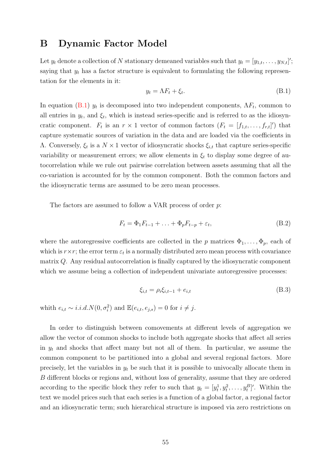## <span id="page-55-0"></span>B Dynamic Factor Model

Let  $y_t$  denote a collection of N stationary demeaned variables such that  $y_t = [y_{1,t}, \ldots, y_{N,t}]'$ ; saying that  $y_t$  has a factor structure is equivalent to formulating the following representation for the elements in it:

<span id="page-55-1"></span>
$$
y_t = \Lambda F_t + \xi_t. \tag{B.1}
$$

In equation [\(B.1\)](#page-55-1)  $y_t$  is decomposed into two independent components,  $\Lambda F_t$ , common to all entries in  $y_t$ , and  $\xi_t$ , which is instead series-specific and is referred to as the idiosyncratic component.  $F_t$  is an  $r \times 1$  vector of common factors  $(F_t = [f_{1,t}, \ldots, f_{r,t}]')$  that capture systematic sources of variation in the data and are loaded via the coefficients in Λ. Conversely,  $\xi_t$  is a  $N \times 1$  vector of idiosyncratic shocks  $\xi_{i,t}$  that capture series-specific variability or measurement errors; we allow elements in  $\xi_t$  to display some degree of autocorrelation while we rule out pairwise correlation between assets assuming that all the co-variation is accounted for by the common component. Both the common factors and the idiosyncratic terms are assumed to be zero mean processes.

The factors are assumed to follow a VAR process of order p:

<span id="page-55-2"></span>
$$
F_t = \Phi_1 F_{t-1} + \ldots + \Phi_p F_{t-p} + \varepsilon_t,\tag{B.2}
$$

where the autoregressive coefficients are collected in the p matrices  $\Phi_1, \ldots, \Phi_p$ , each of which is  $r \times r$ ; the error term  $\varepsilon_t$  is a normally distributed zero mean process with covariance matrix Q. Any residual autocorrelation is finally captured by the idiosyncratic component which we assume being a collection of independent univariate autoregressive processes:

<span id="page-55-3"></span>
$$
\xi_{i,t} = \rho_i \xi_{i,t-1} + e_{i,t} \tag{B.3}
$$

whith  $e_{i,t} \sim i.i.d. N(0, \sigma_i^2)$  and  $\mathbb{E}(e_{i,t}, e_{j,s}) = 0$  for  $i \neq j$ .

In order to distinguish between comovements at different levels of aggregation we allow the vector of common shocks to include both aggregate shocks that affect all series in  $y_t$  and shocks that affect many but not all of them. In particular, we assume the common component to be partitioned into a global and several regional factors. More precisely, let the variables in  $y_t$  be such that it is possible to univocally allocate them in B different blocks or regions and, without loss of generality, assume that they are ordered according to the specific block they refer to such that  $y_t = [y_t^1, y_t^2, \dots, y_t^B]'$ . Within the text we model prices such that each series is a function of a global factor, a regional factor and an idiosyncratic term; such hierarchical structure is imposed via zero restrictions on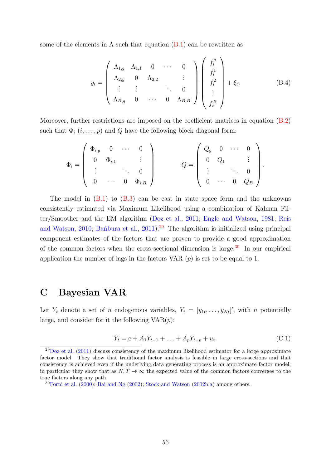some of the elements in  $\Lambda$  such that equation [\(B.1\)](#page-55-1) can be rewritten as

$$
y_{t} = \begin{pmatrix} \Lambda_{1,g} & \Lambda_{1,1} & 0 & \cdots & 0 \\ \Lambda_{2,g} & 0 & \Lambda_{2,2} & & \vdots \\ \vdots & \vdots & & \ddots & 0 \\ \Lambda_{B,g} & 0 & \cdots & 0 & \Lambda_{B,B} \end{pmatrix} \begin{pmatrix} f_{t}^{g} \\ f_{t}^{1} \\ f_{t}^{2} \\ \vdots \\ f_{t}^{B} \end{pmatrix} + \xi_{t}.
$$
 (B.4)

Moreover, further restrictions are imposed on the coefficient matrices in equation [\(B.2\)](#page-55-2) such that  $\Phi_i$   $(i, \ldots, p)$  and Q have the following block diagonal form:

$$
\Phi_i = \left( \begin{array}{cccc} \Phi_{i,g} & 0 & \cdots & 0 \\ 0 & \Phi_{i,1} & & \vdots \\ \vdots & & \ddots & 0 \\ 0 & \cdots & 0 & \Phi_{i,B} \end{array} \right) \qquad Q = \left( \begin{array}{cccc} Q_g & 0 & \cdots & 0 \\ 0 & Q_1 & & \vdots \\ \vdots & & \ddots & 0 \\ 0 & \cdots & 0 & Q_B \end{array} \right).
$$

The model in  $(B.1)$  to  $(B.3)$  can be cast in state space form and the unknowns consistently estimated via Maximum Likelihood using a combination of Kalman Filter/Smoother and the EM algorithm [\(Doz et al.,](#page-42-6) [2011;](#page-42-6) [Engle and Watson,](#page-42-10) [1981;](#page-42-10) [Reis](#page-45-9) [and Watson,](#page-45-9) [2010;](#page-45-9) Bantbura et al., [2011\)](#page-40-4).<sup>[29](#page-56-1)</sup> The algorithm is initialized using principal component estimates of the factors that are proven to provide a good approximation of the common factors when the cross sectional dimension is large.<sup>[30](#page-56-2)</sup> In our empirical application the number of lags in the factors VAR  $(p)$  is set to be equal to 1.

## <span id="page-56-0"></span>C Bayesian VAR

Let  $Y_t$  denote a set of *n* endogenous variables,  $Y_t = [y_{1t}, \ldots, y_{Nt}]'$ , with *n* potentially large, and consider for it the following  $VAR(p)$ :

<span id="page-56-3"></span>
$$
Y_t = c + A_1 Y_{t-1} + \ldots + A_p Y_{t-p} + u_t.
$$
\n(C.1)

<span id="page-56-1"></span> $^{29}$ [Doz et al.](#page-42-6) [\(2011\)](#page-42-6) discuss consistency of the maximum likelihood estimator for a large approximate factor model. They show that traditional factor analysis is feasible in large cross-sections and that consistency is achieved even if the underlying data generating process is an approximate factor model; in particular they show that as  $N, T \to \infty$  the expected value of the common factors converges to the true factors along any path.

<span id="page-56-2"></span> $30$ [Forni et al.](#page-42-5) [\(2000\)](#page-42-5); [Bai and Ng](#page-40-7) [\(2002\)](#page-40-7); [Stock and Watson](#page-45-5) [\(2002b,](#page-45-5)[a\)](#page-45-4) among others.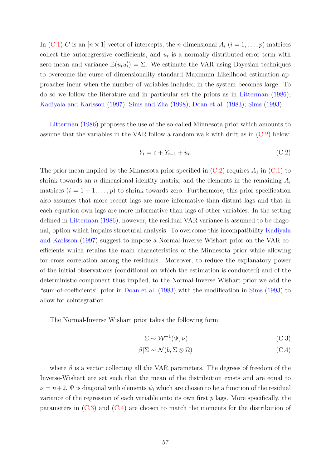In [\(C.1\)](#page-56-3) C is an  $[n \times 1]$  vector of intercepts, the *n*-dimensional  $A_i$  ( $i = 1, ..., p$ ) matrices collect the autoregressive coefficients, and  $u_t$  is a normally distributed error term with zero mean and variance  $\mathbb{E}(u_t u_t') = \Sigma$ . We estimate the VAR using Bayesian techniques to overcome the curse of dimensionality standard Maximum Likelihood estimation approaches incur when the number of variables included in the system becomes large. To do so we follow the literature and in particular set the priors as in [Litterman](#page-44-10) [\(1986\)](#page-44-10); [Kadiyala and Karlsson](#page-43-11) [\(1997\)](#page-43-11); [Sims and Zha](#page-45-10) [\(1998\)](#page-45-10); [Doan et al.](#page-42-11) [\(1983\)](#page-42-11); [Sims](#page-45-11) [\(1993\)](#page-45-11).

[Litterman](#page-44-10) [\(1986\)](#page-44-10) proposes the use of the so-called Minnesota prior which amounts to assume that the variables in the VAR follow a random walk with drift as in [\(C.2\)](#page-57-0) below:

<span id="page-57-0"></span>
$$
Y_t = c + Y_{t-1} + u_t.
$$
 (C.2)

The prior mean implied by the Minnesota prior specified in  $(C.2)$  requires  $A_1$  in  $(C.1)$  to shrink towards an *n*-dimensional identity matrix, and the elements in the remaining  $A_i$ matrices  $(i = 1 + 1, \ldots, p)$  to shrink towards zero. Furthermore, this prior specification also assumes that more recent lags are more informative than distant lags and that in each equation own lags are more informative than lags of other variables. In the setting defined in [Litterman](#page-44-10) [\(1986\)](#page-44-10), however, the residual VAR variance is assumed to be diagonal, option which impairs structural analysis. To overcome this incompatibility [Kadiyala](#page-43-11) [and Karlsson](#page-43-11) [\(1997\)](#page-43-11) suggest to impose a Normal-Inverse Wishart prior on the VAR coefficients which retains the main characteristics of the Minnesota prior while allowing for cross correlation among the residuals. Moreover, to reduce the explanatory power of the initial observations (conditional on which the estimation is conducted) and of the deterministic component thus implied, to the Normal-Inverse Wishart prior we add the "sum-of-coefficients" prior in [Doan et al.](#page-42-11) [\(1983\)](#page-42-11) with the modification in [Sims](#page-45-11) [\(1993\)](#page-45-11) to allow for cointegration.

The Normal-Inverse Wishart prior takes the following form:

<span id="page-57-2"></span><span id="page-57-1"></span>
$$
\Sigma \sim \mathcal{W}^{-1}(\Psi, \nu) \tag{C.3}
$$

$$
\beta|\Sigma \sim \mathcal{N}(b, \Sigma \otimes \Omega) \tag{C.4}
$$

where  $\beta$  is a vector collecting all the VAR parameters. The degrees of freedom of the Inverse-Wishart are set such that the mean of the distribution exists and are equal to  $\nu = n+2$ ,  $\Psi$  is diagonal with elements  $\psi_i$  which are chosen to be a function of the residual variance of the regression of each variable onto its own first  $p$  lags. More specifically, the parameters in  $(C.3)$  and  $(C.4)$  are chosen to match the moments for the distribution of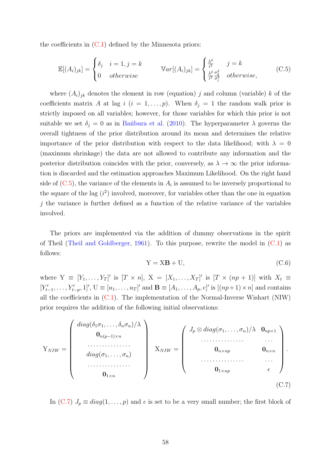the coefficients in  $(C.1)$  defined by the Minnesota priors:

<span id="page-58-0"></span>
$$
\mathbb{E}[(A_i)_{jk}] = \begin{cases} \delta_j & i = 1, j = k \\ 0 & otherwise \end{cases} \qquad \mathbb{V}ar[(A_i)_{jk}] = \begin{cases} \frac{\lambda^2}{i^2} & j = k \\ \frac{\lambda^2}{i^2} \frac{\sigma_k^2}{\sigma_j^2} & otherwise, \end{cases} \tag{C.5}
$$

where  $(A_i)_{jk}$  denotes the element in row (equation) j and column (variable) k of the coefficients matrix A at lag  $i$   $(i = 1, \ldots, p)$ . When  $\delta_j = 1$  the random walk prior is strictly imposed on all variables; however, for those variables for which this prior is not suitable we set  $\delta_j = 0$  as in Ban´bura et al. [\(2010\)](#page-40-0). The hyperparameter  $\lambda$  governs the overall tightness of the prior distribution around its mean and determines the relative importance of the prior distribution with respect to the data likelihood; with  $\lambda = 0$ (maximum shrinkage) the data are not allowed to contribute any information and the posterior distribution coincides with the prior, conversely, as  $\lambda \to \infty$  the prior information is discarded and the estimation approaches Maximum Likelihood. On the right hand side of  $(C.5)$ , the variance of the elements in  $A_i$  is assumed to be inversely proportional to the square of the lag  $(i^2)$  involved, moreover, for variables other than the one in equation  $j$  the variance is further defined as a function of the relative variance of the variables involved.

The priors are implemented via the addition of dummy observations in the spirit of Theil [\(Theil and Goldberger,](#page-46-3) [1961\)](#page-46-3). To this purpose, rewrite the model in [\(C.1\)](#page-56-3) as follows:

<span id="page-58-1"></span>
$$
Y = XB + U,\t(C.6)
$$

where  $Y \equiv [Y_1, \ldots, Y_T]'$  is  $[T \times n], X = [X_1, \ldots, X_T]'$  is  $[T \times (np + 1)]$  with  $X_t \equiv$  $[Y'_{t-1}, \ldots, Y'_{t-p}, 1]'$ ,  $U \equiv [u_1, \ldots, u_T]'$  and  $B \equiv [A_1, \ldots, A_p, c]'$  is  $[(np+1) \times n]$  and contains all the coefficients in  $(C.1)$ . The implementation of the Normal-Inverse Wishart (NIW) prior requires the addition of the following initial observations:

$$
Y_{NIW} = \begin{pmatrix} diag(\delta_1 \sigma_1, \dots, \delta_n \sigma_n) / \lambda \\ 0_{n(p-1) \times n} \\ \dots \\ diag(\sigma_1, \dots, \sigma_n) \\ \dots \\ 0_{1 \times n} \end{pmatrix} \quad X_{NIW} = \begin{pmatrix} J_p \otimes diag(\sigma_1, \dots, \sigma_n) / \lambda & 0_{np \times 1} \\ \dots \\ 0_{n \times np} & 0_{n \times n} \\ \dots \\ 0_{1 \times np} & \epsilon \end{pmatrix} . \tag{C.7}
$$

In [\(C.7\)](#page-58-1)  $J_p \equiv diag(1,\ldots,p)$  and  $\epsilon$  is set to be a very small number; the first block of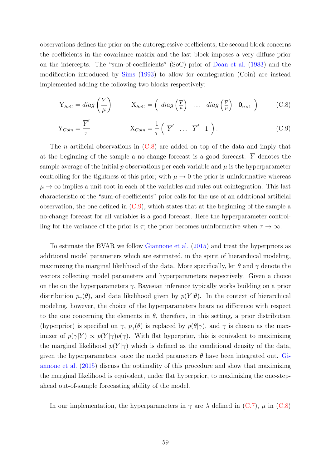observations defines the prior on the autoregressive coefficients, the second block concerns the coefficients in the covariance matrix and the last block imposes a very diffuse prior on the intercepts. The "sum-of-coefficients" (SoC) prior of [Doan et al.](#page-42-11) [\(1983\)](#page-42-11) and the modification introduced by [Sims](#page-45-11) [\(1993\)](#page-45-11) to allow for cointegration (Coin) are instead implemented adding the following two blocks respectively:

<span id="page-59-1"></span><span id="page-59-0"></span>
$$
Y_{SoC} = diag\left(\frac{\overline{Y}}{\mu}\right) \qquad X_{SoC} = \left(\ diag\left(\frac{\overline{Y}}{\mu}\right) \ \dots \ diag\left(\frac{\overline{Y}}{\mu}\right) \ \mathbf{0}_{n\times 1}\right) \qquad (C.8)
$$

$$
Y_{Coin} = \frac{\overline{Y}'}{\tau} \qquad X_{Coin} = \frac{1}{\tau} \left( \overline{Y}' \dots \overline{Y}' 1 \right). \tag{C.9}
$$

The *n* artificial observations in  $(C.8)$  are added on top of the data and imply that at the beginning of the sample a no-change forecast is a good forecast.  $\overline{Y}$  denotes the sample average of the initial  $p$  observations per each variable and  $\mu$  is the hyperparameter controlling for the tightness of this prior; with  $\mu \to 0$  the prior is uninformative whereas  $\mu \to \infty$  implies a unit root in each of the variables and rules out cointegration. This last characteristic of the "sum-of-coefficients" prior calls for the use of an additional artificial observation, the one defined in  $(C.9)$ , which states that at the beginning of the sample a no-change forecast for all variables is a good forecast. Here the hyperparameter controlling for the variance of the prior is  $\tau$ ; the prior becomes uninformative when  $\tau \to \infty$ .

To estimate the BVAR we follow [Giannone et al.](#page-43-1) [\(2015\)](#page-43-1) and treat the hyperpriors as additional model parameters which are estimated, in the spirit of hierarchical modeling, maximizing the marginal likelihood of the data. More specifically, let  $\theta$  and  $\gamma$  denote the vectors collecting model parameters and hyperparameters respectively. Given a choice on the on the hyperparameters  $\gamma$ , Bayesian inference typically works building on a prior distribution  $p_{\gamma}(\theta)$ , and data likelihood given by  $p(Y|\theta)$ . In the context of hierarchical modeling, however, the choice of the hyperparameters bears no difference with respect to the one concerning the elements in  $\theta$ , therefore, in this setting, a prior distribution (hyperprior) is specified on  $\gamma$ ,  $p_{\gamma}(\theta)$  is replaced by  $p(\theta|\gamma)$ , and  $\gamma$  is chosen as the maximizer of  $p(\gamma|Y) \propto p(Y|\gamma)p(\gamma)$ . With flat hyperprior, this is equivalent to maximizing the marginal likelihood  $p(Y|\gamma)$  which is defined as the conditional density of the data, given the hyperparameters, once the model parameters  $\theta$  have been integrated out. [Gi](#page-43-1)[annone et al.](#page-43-1) [\(2015\)](#page-43-1) discuss the optimality of this procedure and show that maximizing the marginal likelihood is equivalent, under flat hyperprior, to maximizing the one-stepahead out-of-sample forecasting ability of the model.

In our implementation, the hyperparameters in  $\gamma$  are  $\lambda$  defined in [\(C.7\)](#page-58-1),  $\mu$  in [\(C.8\)](#page-59-0)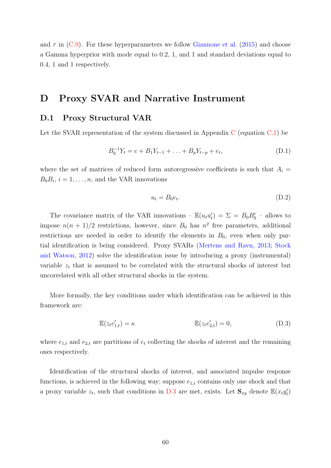and  $\tau$  in [\(C.9\)](#page-59-1). For these hyperparameters we follow [Giannone et al.](#page-43-1) [\(2015\)](#page-43-1) and choose a Gamma hyperprior with mode equal to 0.2, 1, and 1 and standard deviations equal to 0.4, 1 and 1 respectively.

## <span id="page-60-0"></span>D Proxy SVAR and Narrative Instrument

## D.1 Proxy Structural VAR

Let the SVAR representation of the system discussed in Appendix [C](#page-56-0) (equation [C.1\)](#page-56-3) be

$$
B_0^{-1}Y_t = c + B_1Y_{t-1} + \ldots + B_pY_{t-p} + e_t,
$$
\n(D.1)

where the set of matrices of reduced form autoregressive coefficients is such that  $A_i =$  $B_0B_i$ ,  $i=1,\ldots,n$ , and the VAR innovations

<span id="page-60-2"></span><span id="page-60-1"></span>
$$
u_t = B_0 e_t. \tag{D.2}
$$

The covariance matrix of the VAR innovations –  $\mathbb{E}(u_t u_t') = \Sigma = B_0 B_0'$  – allows to impose  $n(n + 1)/2$  restrictions, however, since  $B_0$  has  $n^2$  free parameters, additional restrictions are needed in order to identify the elements in  $B_0$ , even when only partial identification is being considered. Proxy SVARs [\(Mertens and Ravn,](#page-44-3) [2013;](#page-44-3) [Stock](#page-46-1) [and Watson,](#page-46-1) [2012\)](#page-46-1) solve the identification issue by introducing a proxy (instrumental) variable  $z_t$  that is assumed to be correlated with the structural shocks of interest but uncorrelated with all other structural shocks in the system.

More formally, the key conditions under which identification can be achieved in this framework are:

$$
\mathbb{E}(z_t e'_{1,t}) = \kappa \qquad \qquad \mathbb{E}(z_t e'_{2,t}) = 0,\tag{D.3}
$$

where  $e_{1,t}$  and  $e_{2,t}$  are partitions of  $e_t$  collecting the shocks of interest and the remaining ones respectively.

Identification of the structural shocks of interest, and associated impulse response functions, is achieved in the following way; suppose  $e_{1,t}$  contains only one shock and that a proxy variable  $z_t$ , such that conditions in [D.3](#page-60-1) are met, exists. Let  $\mathbf{S}_{xy}$  denote  $\mathbb{E}(x_t y_t)$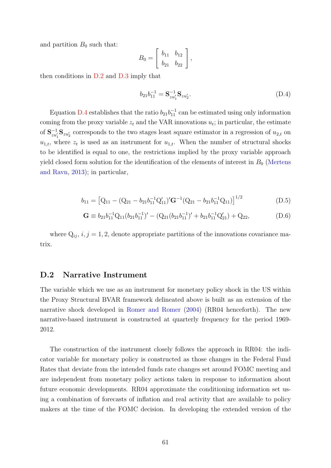and partition  $B_0$  such that:

$$
B_0 = \left[ \begin{array}{cc} b_{11} & b_{12} \\ b_{21} & b_{22} \end{array} \right],
$$

then conditions in [D.2](#page-60-2) and [D.3](#page-60-1) imply that

<span id="page-61-0"></span>
$$
b_{21}b_{11}^{-1} = \mathbf{S}_{zu'_1}^{-1} \mathbf{S}_{zu'_2}.
$$
 (D.4)

Equation [D.4](#page-61-0) establishes that the ratio  $b_{21}b_{11}^{-1}$  can be estimated using only information coming from the proxy variable  $z_t$  and the VAR innovations  $u_t$ ; in particular, the estimate of  $S_{zu_1'}^{-1}S_{zu_2'}$  corresponds to the two stages least square estimator in a regression of  $u_{2,t}$  on  $u_{1,t}$ , where  $z_t$  is used as an instrument for  $u_{1,t}$ . When the number of structural shocks to be identified is equal to one, the restrictions implied by the proxy variable approach yield closed form solution for the identification of the elements of interest in  $B_0$  [\(Mertens](#page-44-3) [and Ravn,](#page-44-3) [2013\)](#page-44-3); in particular,

$$
b_{11} = [Q_{11} - (Q_{21} - b_{21}b_{11}^{-1}Q_{11}')'G^{-1}(Q_{21} - b_{21}b_{11}^{-1}Q_{11})]^{1/2}
$$
(D.5)

$$
\mathbf{G} \equiv b_{21}b_{11}^{-1}Q_{11}(b_{21}b_{11}^{-1})' - (Q_{21}(b_{21}b_{11}^{-1})' + b_{21}b_{11}^{-1}Q_{21}') + Q_{22},
$$
(D.6)

where  $Q_{ij}$ ,  $i, j = 1, 2$ , denote appropriate partitions of the innovations covariance matrix.

### D.2 Narrative Instrument

The variable which we use as an instrument for monetary policy shock in the US within the Proxy Structural BVAR framework delineated above is built as an extension of the narrative shock developed in [Romer and Romer](#page-45-6) [\(2004\)](#page-45-6) (RR04 henceforth). The new narrative-based instrument is constructed at quarterly frequency for the period 1969- 2012.

The construction of the instrument closely follows the approach in RR04: the indicator variable for monetary policy is constructed as those changes in the Federal Fund Rates that deviate from the intended funds rate changes set around FOMC meeting and are independent from monetary policy actions taken in response to information about future economic developments. RR04 approximate the conditioning information set using a combination of forecasts of inflation and real activity that are available to policy makers at the time of the FOMC decision. In developing the extended version of the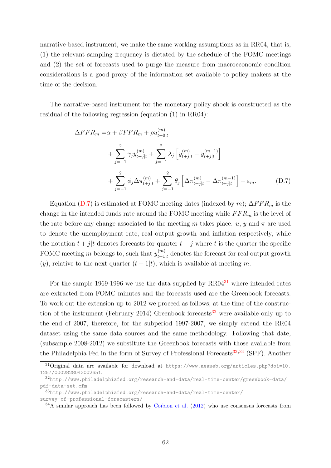narrative-based instrument, we make the same working assumptions as in RR04, that is, (1) the relevant sampling frequency is dictated by the schedule of the FOMC meetings and (2) the set of forecasts used to purge the measure from macroeconomic condition considerations is a good proxy of the information set available to policy makers at the time of the decision.

The narrative-based instrument for the monetary policy shock is constructed as the residual of the following regression (equation (1) in RR04):

<span id="page-62-0"></span>
$$
\Delta FFR_m = \alpha + \beta FFR_m + \rho u_{t+0|t}^{(m)}
$$
  
+ 
$$
\sum_{j=-1}^{2} \gamma_j y_{t+j|t}^{(m)} + \sum_{j=-1}^{2} \lambda_j \left[ y_{t+j|t}^{(m)} - y_{t+j|t}^{(m-1)} \right]
$$
  
+ 
$$
\sum_{j=-1}^{2} \phi_j \Delta \pi_{t+j|t}^{(m)} + \sum_{j=-1}^{2} \theta_j \left[ \Delta \pi_{t+j|t}^{(m)} - \Delta \pi_{t+j|t}^{(m-1)} \right] + \varepsilon_m.
$$
 (D.7)

Equation [\(D.7\)](#page-62-0) is estimated at FOMC meeting dates (indexed by m);  $\Delta FFR_m$  is the change in the intended funds rate around the FOMC meeting while  $FFR_m$  is the level of the rate before any change associated to the meeting m takes place. u, y and  $\pi$  are used to denote the unemployment rate, real output growth and inflation respectively, while the notation  $t + j/t$  denotes forecasts for quarter  $t + j$  where t is the quarter the specific FOMC meeting m belongs to, such that  $y_{t+1}^{(m)}$  $t_{t+1|t}^{(m)}$  denotes the forecast for real output growth  $(y)$ , relative to the next quarter  $(t+1|t)$ , which is available at meeting m.

For the sample 1969-1996 we use the data supplied by  $R\text{R}04^{31}$  $R\text{R}04^{31}$  $R\text{R}04^{31}$  where intended rates are extracted from FOMC minutes and the forecasts used are the Greenbook forecasts. To work out the extension up to 2012 we proceed as follows; at the time of the construc-tion of the instrument (February 2014) Greenbook forecasts<sup>[32](#page-62-2)</sup> were available only up to the end of 2007, therefore, for the subperiod 1997-2007, we simply extend the RR04 dataset using the same data sources and the same methodology. Following that date, (subsample 2008-2012) we substitute the Greenbook forecasts with those available from the Philadelphia Fed in the form of Survey of Professional Forecasts<sup>[33](#page-62-3),[34](#page-62-4)</sup> (SPF). Another

<span id="page-62-1"></span><sup>31</sup>Original data are available for download at [https://www.aeaweb.org/articles.php?doi=10.](https://www.aeaweb.org/articles.php?doi=10.1257/0002828042002651) [1257/0002828042002651](https://www.aeaweb.org/articles.php?doi=10.1257/0002828042002651).

<span id="page-62-2"></span><sup>32</sup>[http://www.philadelphiafed.org/research-and-data/real-time-center/greenbook-data/](http://www.philadelphiafed.org/research-and-data/real-time-center/greenbook-data/pdf-data-set.cfm) [pdf-data-set.cfm](http://www.philadelphiafed.org/research-and-data/real-time-center/greenbook-data/pdf-data-set.cfm)

<span id="page-62-3"></span><sup>33</sup>[http://www.philadelphiafed.org/research-and-data/real-time-center/](http://www.philadelphiafed.org/research-and-data/real-time-center/survey-of-professional-forecasters/)

[survey-of-professional-forecasters/](http://www.philadelphiafed.org/research-and-data/real-time-center/survey-of-professional-forecasters/)

<span id="page-62-4"></span><sup>&</sup>lt;sup>34</sup>A similar approach has been followed by [Coibion et al.](#page-41-12) [\(2012\)](#page-41-12) who use consensus forecasts from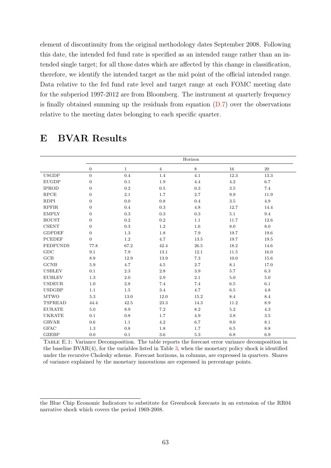element of discontinuity from the original methodology dates September 2008. Following this date, the intended fed fund rate is specified as an intended range rather than an intended single target; for all those dates which are affected by this change in classification, therefore, we identify the intended target as the mid point of the official intended range. Data relative to the fed fund rate level and target range at each FOMC meeting date for the subperiod 1997-2012 are from Bloomberg. The instrument at quarterly frequency is finally obtained summing up the residuals from equation  $(D.7)$  over the observations relative to the meeting dates belonging to each specific quarter.

<span id="page-63-1"></span>

|                 | Horizon          |              |                |          |         |         |
|-----------------|------------------|--------------|----------------|----------|---------|---------|
|                 | $\boldsymbol{0}$ | $\mathbf{1}$ | $\overline{4}$ | 8        | $16\,$  | 20      |
| <b>USGDP</b>    | $\overline{0}$   | 0.4          | 1.4            | 4.1      | 12.3    | 13.3    |
| <b>EUGDP</b>    | $\boldsymbol{0}$ | 0.1          | $1.9\,$        | 4.4      | 4.2     | 6.7     |
| <b>IPROD</b>    | $\boldsymbol{0}$ | 0.2          | $0.5\,$        | 0.3      | 3.5     | 7.4     |
| <b>RPCE</b>     | $\boldsymbol{0}$ | $2.1\,$      | 1.7            | $2.7\,$  | 9.9     | 11.9    |
| <b>RDPI</b>     | $\boldsymbol{0}$ | 0.0          | $0.8\,$        | 0.4      | $3.5\,$ | 4.9     |
| <b>RPFIR</b>    | $\boldsymbol{0}$ | 0.4          | 0.3            | 4.8      | 12.7    | 14.4    |
| <b>EMPLY</b>    | $\boldsymbol{0}$ | 0.3          | $0.3\,$        | 0.3      | 5.1     | 9.4     |
| <b>HOUST</b>    | $\boldsymbol{0}$ | 0.2          | 0.2            | 1.1      | 11.7    | 12.6    |
| CSENT           | $\boldsymbol{0}$ | 0.3          | $1.2\,$        | 1.6      | 8.0     | 8.0     |
| <b>GDPDEF</b>   | $\boldsymbol{0}$ | 1.3          | 1.8            | 7.9      | 19.7    | 19.6    |
| <b>PCEDEF</b>   | $\boldsymbol{0}$ | $1.2\,$      | 4.7            | 13.5     | 19.7    | 19.5    |
| <b>FEDFUNDS</b> | 77.8             | 67.2         | 42.4           | $26.5\,$ | 18.2    | 14.6    |
| GDC             | 9.1              | $7.9\,$      | 13.1           | 12.1     | 11.5    | 16.0    |
| GCB             | 8.9              | 12.9         | 13.9           | 7.3      | 10.0    | 15.6    |
| $_{\rm GCNB}$   | $5.9\,$          | 4.7          | $4.5\,$        | $2.7\,$  | 8.1     | 17.0    |
| <b>USBLEV</b>   | 0.1              | 2.3          | 2.8            | 3.9      | 5.7     | 6.3     |
| <b>EUBLEV</b>   | $1.3\,$          | 2.0          | $2.9\,$        | $2.1\,$  | $5.0\,$ | $5.0\,$ |
| <b>USDEUR</b>   | 1.0              | $2.8\,$      | 7.4            | 7.4      | $6.5\,$ | 6.1     |
| <b>USDGBP</b>   | 1.1              | $1.5\,$      | $3.4\,$        | 4.7      | $6.5\,$ | $4.8\,$ |
| <b>MTWO</b>     | 5.3              | 13.0         | 12.0           | 15.2     | 8.4     | 8.4     |
| <b>TSPREAD</b>  | 44.4             | 42.5         | $23.3\,$       | 14.3     | 11.2    | 8.9     |
| ${\rm EURATE}$  | 5.0              | 8.9          | $7.2\,$        | $8.2\,$  | 5.2     | 4.3     |
| <b>UKRATE</b>   | 0.1              | 0.8          | 1.7            | 4.9      | $3.8\,$ | $3.5\,$ |
| <b>GRVAR</b>    | 0.6              | 1.1          | 4.2            | 6.7      | 9.0     | 8.1     |
| <b>GFAC</b>     | $1.3\,$          | 0.8          | $1.8\,$        | 1.7      | $6.5\,$ | $8.8\,$ |
| <b>GZEBP</b>    | 0.0              | 0.1          | 3.6            | 5.3      | 6.8     | 6.9     |

# <span id="page-63-0"></span>E BVAR Results

Table E.1: Variance Decomposition. The table reports the forecast error variance decomposition in the baseline  $BVAR(4)$ , for the variables listed in Table [3,](#page-26-0) when the monetary policy shock is identified under the recursive Cholesky scheme. Forecast horizons, in columns, are expressed in quarters. Shares of variance explained by the monetary innovations are expressed in percentage points.

the Blue Chip Economic Indicators to substitute for Greenbook forecasts in an extension of the RR04 narrative shock which covers the period 1969-2008.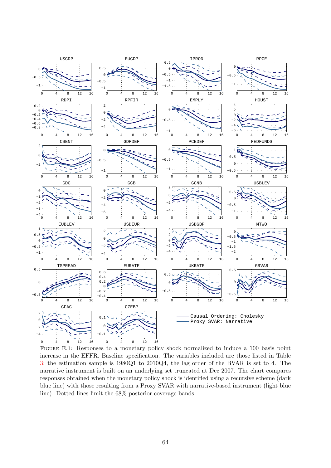<span id="page-64-0"></span>

FIGURE E.1: Responses to a monetary policy shock normalized to induce a 100 basis point increase in the EFFR. Baseline specification. The variables included are those listed in Table [3;](#page-26-0) the estimation sample is 1980Q1 to 2010Q4, the lag order of the BVAR is set to 4. The narrative instrument is built on an underlying set truncated at Dec 2007. The chart compares responses obtained when the monetary policy shock is identified using a recursive scheme (dark blue line) with those resulting from a Proxy SVAR with narrative-based instrument (light blue line). Dotted lines limit the 68% posterior coverage bands.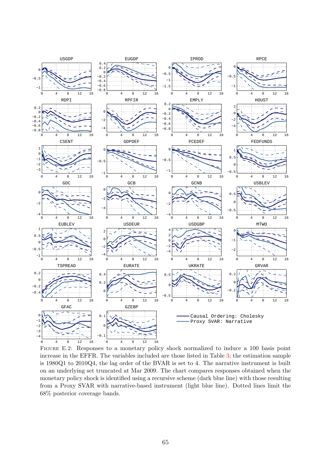<span id="page-65-0"></span>

Figure E.2: Responses to a monetary policy shock normalized to induce a 100 basis point increase in the EFFR. The variables included are those listed in Table [3;](#page-26-0) the estimation sample is 1980Q1 to 2010Q4, the lag order of the BVAR is set to 4. The narrative instrument is built on an underlying set truncated at Mar 2009. The chart compares responses obtained when the monetary policy shock is identified using a recursive scheme (dark blue line) with those resulting from a Proxy SVAR with narrative-based instrument (light blue line). Dotted lines limit the 68% posterior coverage bands.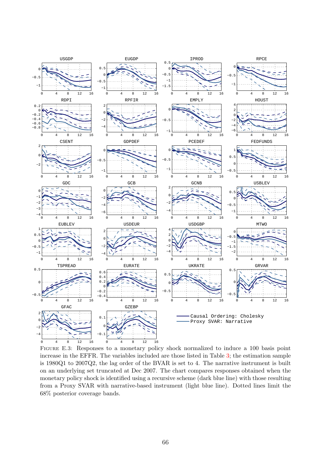<span id="page-66-0"></span>

Figure E.3: Responses to a monetary policy shock normalized to induce a 100 basis point increase in the EFFR. The variables included are those listed in Table [3;](#page-26-0) the estimation sample is 1980Q1 to 2007Q2, the lag order of the BVAR is set to 4. The narrative instrument is built on an underlying set truncated at Dec 2007. The chart compares responses obtained when the monetary policy shock is identified using a recursive scheme (dark blue line) with those resulting from a Proxy SVAR with narrative-based instrument (light blue line). Dotted lines limit the 68% posterior coverage bands.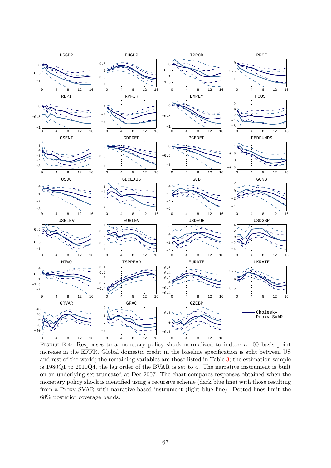<span id="page-67-0"></span>

Figure E.4: Responses to a monetary policy shock normalized to induce a 100 basis point increase in the EFFR. Global domestic credit in the baseline specification is split between US and rest of the world; the remaining variables are those listed in Table [3;](#page-26-0) the estimation sample is 1980Q1 to 2010Q4, the lag order of the BVAR is set to 4. The narrative instrument is built on an underlying set truncated at Dec 2007. The chart compares responses obtained when the monetary policy shock is identified using a recursive scheme (dark blue line) with those resulting from a Proxy SVAR with narrative-based instrument (light blue line). Dotted lines limit the 68% posterior coverage bands.